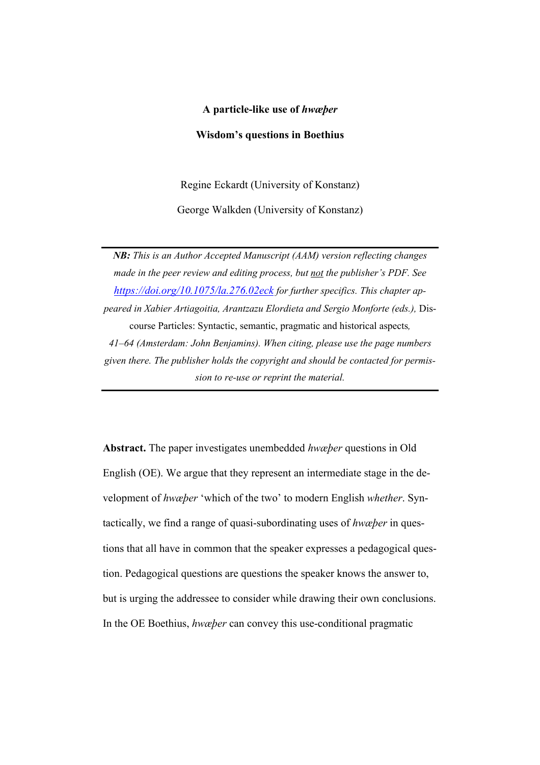#### **A particle-like use of** *hwæþer*

## **Wisdom's questions in Boethius**

Regine Eckardt (University of Konstanz)

George Walkden (University of Konstanz)

*NB: This is an Author Accepted Manuscript (AAM) version reflecting changes made in the peer review and editing process, but not the publisher's PDF. See https://doi.org/10.1075/la.276.02eck for further specifics. This chapter appeared in Xabier Artiagoitia, Arantzazu Elordieta and Sergio Monforte (eds.),* Discourse Particles: Syntactic, semantic, pragmatic and historical aspects*, 41–64 (Amsterdam: John Benjamins). When citing, please use the page numbers given there. The publisher holds the copyright and should be contacted for permission to re-use or reprint the material.*

**Abstract.** The paper investigates unembedded *hwæþer* questions in Old English (OE). We argue that they represent an intermediate stage in the development of *hwæþer* 'which of the two' to modern English *whether*. Syntactically, we find a range of quasi-subordinating uses of *hwæþer* in questions that all have in common that the speaker expresses a pedagogical question. Pedagogical questions are questions the speaker knows the answer to, but is urging the addressee to consider while drawing their own conclusions. In the OE Boethius, *hwæþer* can convey this use-conditional pragmatic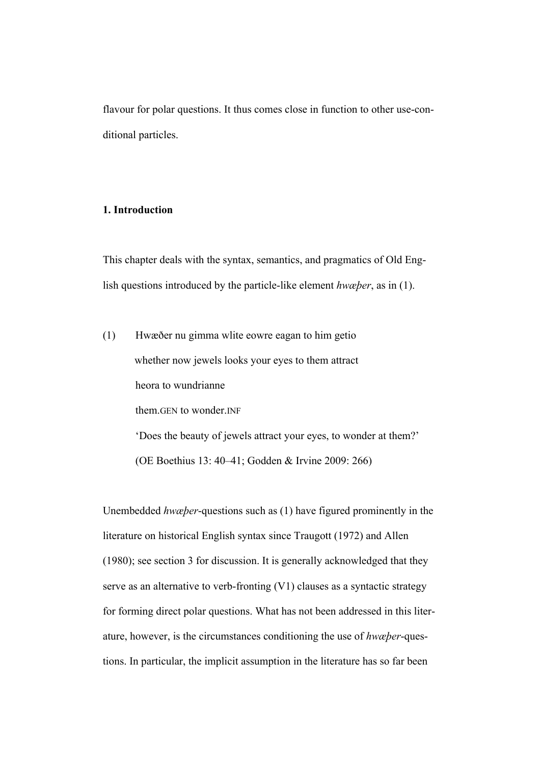flavour for polar questions. It thus comes close in function to other use-conditional particles.

## **1. Introduction**

This chapter deals with the syntax, semantics, and pragmatics of Old English questions introduced by the particle-like element *hwæþer*, as in (1).

(1) Hwæðer nu gimma wlite eowre eagan to him getio whether now jewels looks your eyes to them attract heora to wundrianne them.GEN to wonder.INF 'Does the beauty of jewels attract your eyes, to wonder at them?' (OE Boethius 13: 40–41; Godden & Irvine 2009: 266)

Unembedded *hwæþer*-questions such as (1) have figured prominently in the literature on historical English syntax since Traugott (1972) and Allen (1980); see section 3 for discussion. It is generally acknowledged that they serve as an alternative to verb-fronting (V1) clauses as a syntactic strategy for forming direct polar questions. What has not been addressed in this literature, however, is the circumstances conditioning the use of *hwæþer*-questions. In particular, the implicit assumption in the literature has so far been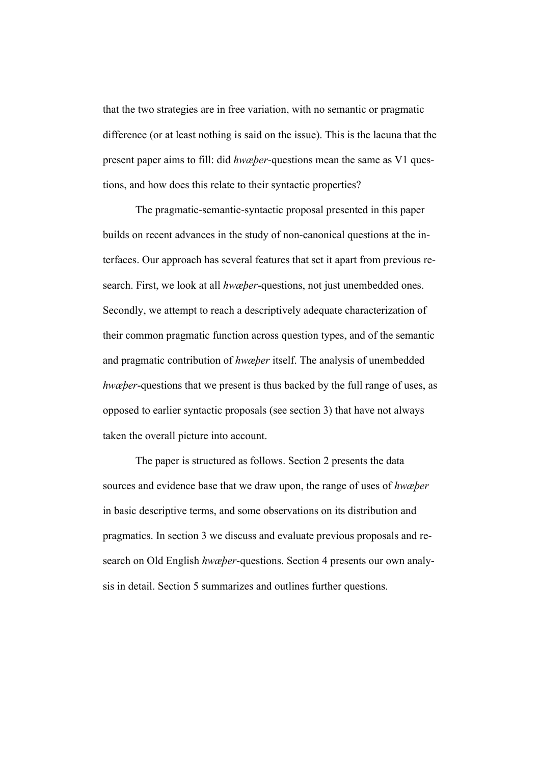that the two strategies are in free variation, with no semantic or pragmatic difference (or at least nothing is said on the issue). This is the lacuna that the present paper aims to fill: did *hwæþer*-questions mean the same as V1 questions, and how does this relate to their syntactic properties?

The pragmatic-semantic-syntactic proposal presented in this paper builds on recent advances in the study of non-canonical questions at the interfaces. Our approach has several features that set it apart from previous research. First, we look at all *hwæþer*-questions, not just unembedded ones. Secondly, we attempt to reach a descriptively adequate characterization of their common pragmatic function across question types, and of the semantic and pragmatic contribution of *hwæþer* itself. The analysis of unembedded *hwæþer*-questions that we present is thus backed by the full range of uses, as opposed to earlier syntactic proposals (see section 3) that have not always taken the overall picture into account.

The paper is structured as follows. Section 2 presents the data sources and evidence base that we draw upon, the range of uses of *hwæþer*  in basic descriptive terms, and some observations on its distribution and pragmatics. In section 3 we discuss and evaluate previous proposals and research on Old English *hwæþer*-questions. Section 4 presents our own analysis in detail. Section 5 summarizes and outlines further questions.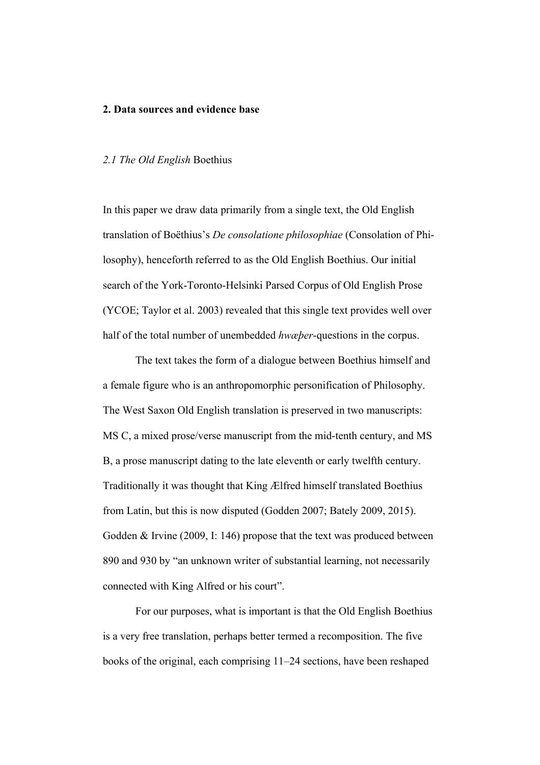#### **2. Data sources and evidence base**

## *2.1 The Old English* Boethius

In this paper we draw data primarily from a single text, the Old English translation of Boëthius's *De consolatione philosophiae* (Consolation of Philosophy), henceforth referred to as the Old English Boethius. Our initial search of the York-Toronto-Helsinki Parsed Corpus of Old English Prose (YCOE; Taylor et al. 2003) revealed that this single text provides well over half of the total number of unembedded *hwæþer*-questions in the corpus.

The text takes the form of a dialogue between Boethius himself and a female figure who is an anthropomorphic personification of Philosophy. The West Saxon Old English translation is preserved in two manuscripts: MS C, a mixed prose/verse manuscript from the mid-tenth century, and MS B, a prose manuscript dating to the late eleventh or early twelfth century. Traditionally it was thought that King Ælfred himself translated Boethius from Latin, but this is now disputed (Godden 2007; Bately 2009, 2015). Godden & Irvine (2009, I: 146) propose that the text was produced between 890 and 930 by "an unknown writer of substantial learning, not necessarily connected with King Alfred or his court".

For our purposes, what is important is that the Old English Boethius is a very free translation, perhaps better termed a recomposition. The five books of the original, each comprising 11–24 sections, have been reshaped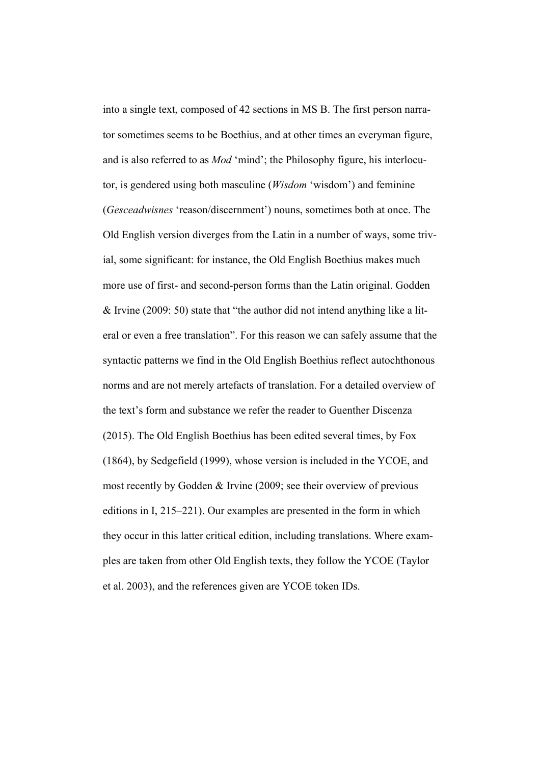into a single text, composed of 42 sections in MS B. The first person narrator sometimes seems to be Boethius, and at other times an everyman figure, and is also referred to as *Mod* 'mind'; the Philosophy figure, his interlocutor, is gendered using both masculine (*Wisdom* 'wisdom') and feminine (*Gesceadwisnes* 'reason/discernment') nouns, sometimes both at once. The Old English version diverges from the Latin in a number of ways, some trivial, some significant: for instance, the Old English Boethius makes much more use of first- and second-person forms than the Latin original. Godden & Irvine (2009: 50) state that "the author did not intend anything like a literal or even a free translation". For this reason we can safely assume that the syntactic patterns we find in the Old English Boethius reflect autochthonous norms and are not merely artefacts of translation. For a detailed overview of the text's form and substance we refer the reader to Guenther Discenza (2015). The Old English Boethius has been edited several times, by Fox (1864), by Sedgefield (1999), whose version is included in the YCOE, and most recently by Godden & Irvine (2009; see their overview of previous editions in I, 215–221). Our examples are presented in the form in which they occur in this latter critical edition, including translations. Where examples are taken from other Old English texts, they follow the YCOE (Taylor et al. 2003), and the references given are YCOE token IDs.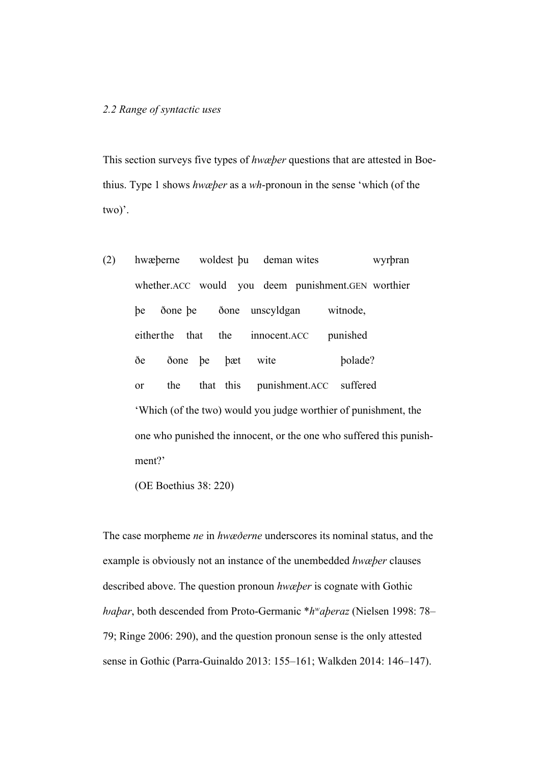## *2.2 Range of syntactic uses*

This section surveys five types of *hwæþer* questions that are attested in Boethius. Type 1 shows *hwæþer* as a *wh*-pronoun in the sense 'which (of the two)'.

(2) hwæþerne woldest þu deman wites wyrþran whether.ACC would you deem punishment.GEN worthier þe ðone þe ðone unscyldgan witnode, eitherthe that the innocent.ACC punished ðe ðone þe þæt wite þolade? or the that this punishment.ACC suffered 'Which (of the two) would you judge worthier of punishment, the one who punished the innocent, or the one who suffered this punishment?'

(OE Boethius 38: 220)

The case morpheme *ne* in *hwæðerne* underscores its nominal status, and the example is obviously not an instance of the unembedded *hwæþer* clauses described above. The question pronoun *hwæþer* is cognate with Gothic *ƕaþar*, both descended from Proto-Germanic \**hwaþeraz* (Nielsen 1998: 78– 79; Ringe 2006: 290), and the question pronoun sense is the only attested sense in Gothic (Parra-Guinaldo 2013: 155–161; Walkden 2014: 146–147).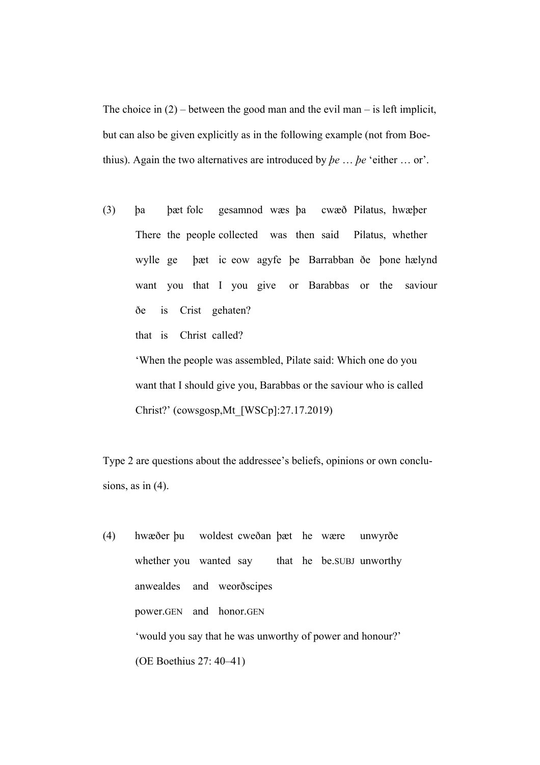The choice in  $(2)$  – between the good man and the evil man – is left implicit, but can also be given explicitly as in the following example (not from Boethius). Again the two alternatives are introduced by *þe* … *þe* 'either … or'.

(3) þa þæt folc gesamnod wæs þa cwæð Pilatus, hwæþer There the people collected was then said Pilatus, whether wylle ge þæt ic eow agyfe þe Barrabban ðe þone hælynd want you that I you give or Barabbas or the saviour ðe is Crist gehaten? that is Christ called?

'When the people was assembled, Pilate said: Which one do you want that I should give you, Barabbas or the saviour who is called Christ?' (cowsgosp,Mt\_[WSCp]:27.17.2019)

Type 2 are questions about the addressee's beliefs, opinions or own conclusions, as in  $(4)$ .

(4) hwæðer þu woldest cweðan þæt he wære unwyrðe whether you wanted say that he be.SUBJ unworthy anwealdes and weorðscipes power.GEN and honor.GEN 'would you say that he was unworthy of power and honour?' (OE Boethius 27: 40–41)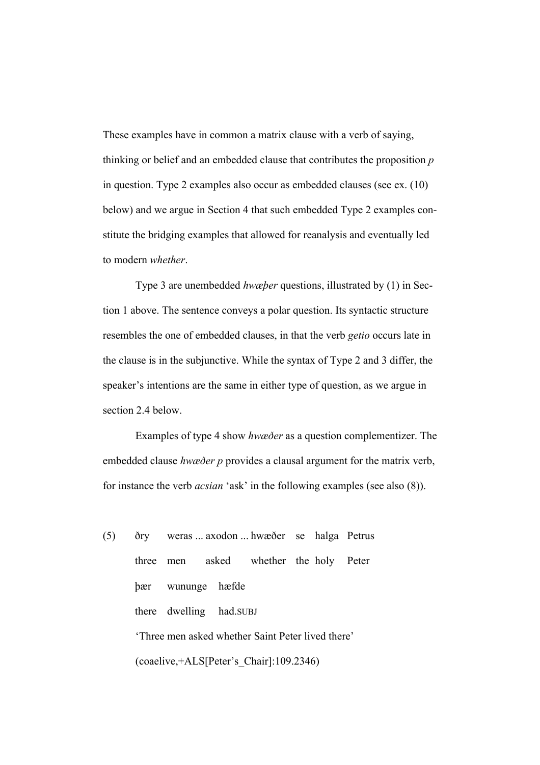These examples have in common a matrix clause with a verb of saying, thinking or belief and an embedded clause that contributes the proposition *p* in question. Type 2 examples also occur as embedded clauses (see ex. (10) below) and we argue in Section 4 that such embedded Type 2 examples constitute the bridging examples that allowed for reanalysis and eventually led to modern *whether*.

Type 3 are unembedded *hwæþer* questions, illustrated by (1) in Section 1 above. The sentence conveys a polar question. Its syntactic structure resembles the one of embedded clauses, in that the verb *getio* occurs late in the clause is in the subjunctive. While the syntax of Type 2 and 3 differ, the speaker's intentions are the same in either type of question, as we argue in section 2.4 below.

Examples of type 4 show *hwæðer* as a question complementizer. The embedded clause *hwæðer p* provides a clausal argument for the matrix verb, for instance the verb *acsian* 'ask' in the following examples (see also (8)).

(5) ðry weras ... axodon ... hwæðer se halga Petrus three men asked whether the holy Peter þær wununge hæfde there dwelling had.SUBJ 'Three men asked whether Saint Peter lived there' (coaelive,+ALS[Peter's\_Chair]:109.2346)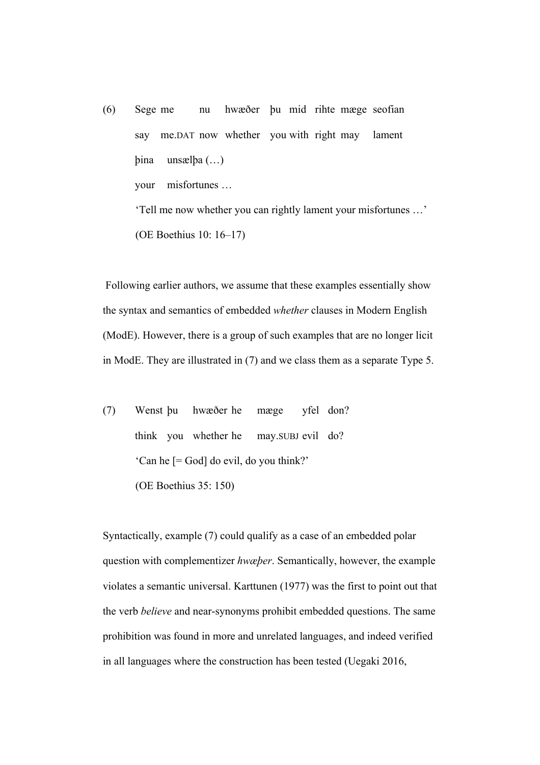(6) Sege me nu hwæðer þu mid rihte mæge seofian say me.DAT now whether you with right may lament þina unsælþa (…) your misfortunes … 'Tell me now whether you can rightly lament your misfortunes …' (OE Boethius 10: 16–17)

Following earlier authors, we assume that these examples essentially show the syntax and semantics of embedded *whether* clauses in Modern English (ModE). However, there is a group of such examples that are no longer licit in ModE. They are illustrated in (7) and we class them as a separate Type 5.

(7) Wenst þu hwæðer he mæge yfel don? think you whether he may.SUBJ evil do? 'Can he [= God] do evil, do you think?' (OE Boethius 35: 150)

Syntactically, example (7) could qualify as a case of an embedded polar question with complementizer *hwæþer*. Semantically, however, the example violates a semantic universal. Karttunen (1977) was the first to point out that the verb *believe* and near-synonyms prohibit embedded questions. The same prohibition was found in more and unrelated languages, and indeed verified in all languages where the construction has been tested (Uegaki 2016,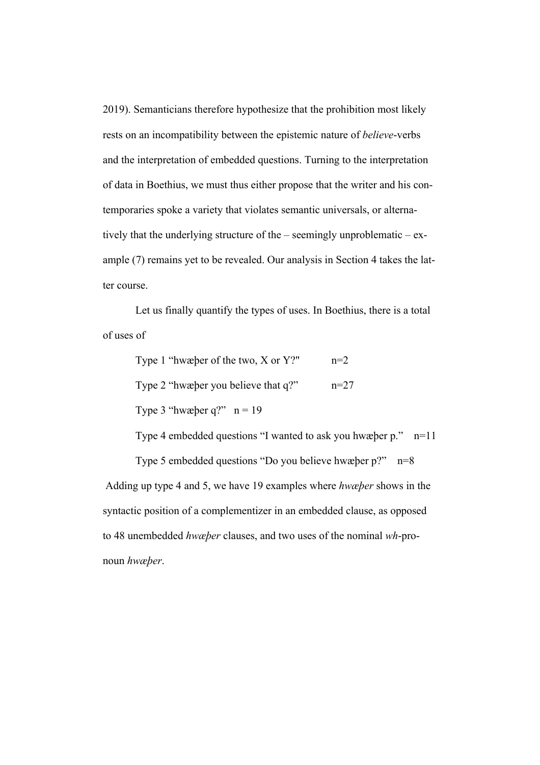2019). Semanticians therefore hypothesize that the prohibition most likely rests on an incompatibility between the epistemic nature of *believe*-verbs and the interpretation of embedded questions. Turning to the interpretation of data in Boethius, we must thus either propose that the writer and his contemporaries spoke a variety that violates semantic universals, or alternatively that the underlying structure of the – seemingly unproblematic –  $ex$ ample (7) remains yet to be revealed. Our analysis in Section 4 takes the latter course.

Let us finally quantify the types of uses. In Boethius, there is a total of uses of

| Type 1 "hwæber of the two, $X$ or $Y$ ?" | $n=2$  |
|------------------------------------------|--------|
| Type 2 "hwæber you believe that q?"      | $n=27$ |
| Type 3 "hwæber q?" $n = 19$              |        |

Type 4 embedded questions "I wanted to ask you hwæþer p." n=11

 Type 5 embedded questions "Do you believe hwæþer p?" n=8 Adding up type 4 and 5, we have 19 examples where *hwæþer* shows in the syntactic position of a complementizer in an embedded clause, as opposed to 48 unembedded *hwæþer* clauses, and two uses of the nominal *wh*-pronoun *hwæþer*.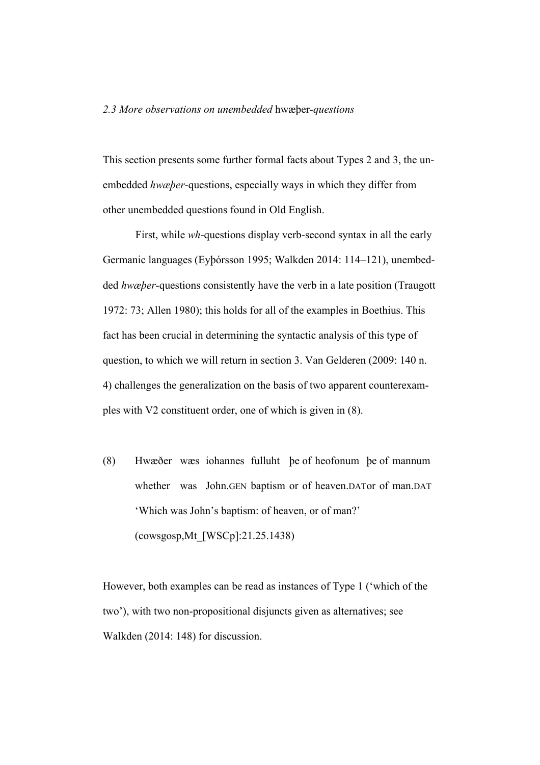#### *2.3 More observations on unembedded* hwæþer*-questions*

This section presents some further formal facts about Types 2 and 3, the unembedded *hwæþer*-questions, especially ways in which they differ from other unembedded questions found in Old English.

First, while *wh*-questions display verb-second syntax in all the early Germanic languages (Eyþórsson 1995; Walkden 2014: 114–121), unembedded *hwæþer-*questions consistently have the verb in a late position (Traugott 1972: 73; Allen 1980); this holds for all of the examples in Boethius. This fact has been crucial in determining the syntactic analysis of this type of question, to which we will return in section 3. Van Gelderen (2009: 140 n. 4) challenges the generalization on the basis of two apparent counterexamples with V2 constituent order, one of which is given in (8).

(8) Hwæðer wæs iohannes fulluht þe of heofonum þe of mannum whether was John.GEN baptism or of heaven.DATor of man.DAT 'Which was John's baptism: of heaven, or of man?' (cowsgosp,Mt\_[WSCp]:21.25.1438)

However, both examples can be read as instances of Type 1 ('which of the two'), with two non-propositional disjuncts given as alternatives; see Walkden (2014: 148) for discussion.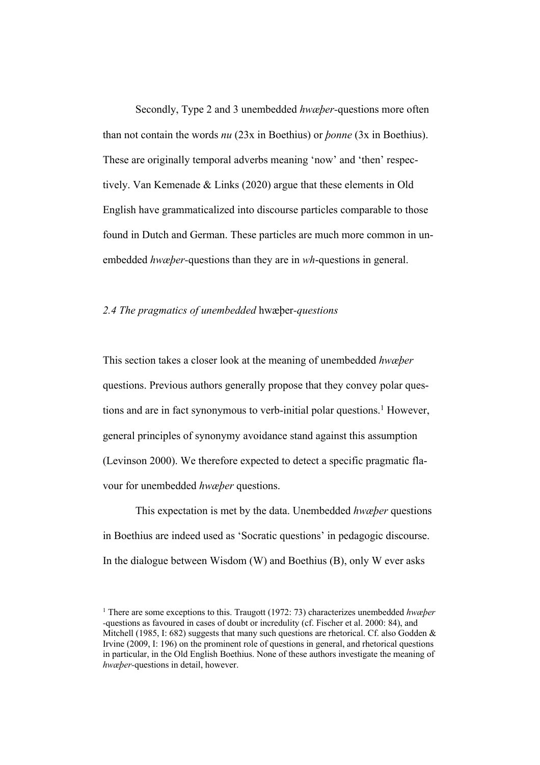Secondly, Type 2 and 3 unembedded *hwæþer-*questions more often than not contain the words *nu* (23x in Boethius) or *þonne* (3x in Boethius). These are originally temporal adverbs meaning 'now' and 'then' respectively. Van Kemenade & Links (2020) argue that these elements in Old English have grammaticalized into discourse particles comparable to those found in Dutch and German. These particles are much more common in unembedded *hwæþer-*questions than they are in *wh*-questions in general.

#### *2.4 The pragmatics of unembedded* hwæþer*-questions*

This section takes a closer look at the meaning of unembedded *hwæþer*  questions. Previous authors generally propose that they convey polar questions and are in fact synonymous to verb-initial polar questions. <sup>1</sup> However, general principles of synonymy avoidance stand against this assumption (Levinson 2000). We therefore expected to detect a specific pragmatic flavour for unembedded *hwæþer* questions.

 This expectation is met by the data. Unembedded *hwæþer* questions in Boethius are indeed used as 'Socratic questions' in pedagogic discourse. In the dialogue between Wisdom (W) and Boethius (B), only W ever asks

<sup>1</sup> There are some exceptions to this. Traugott (1972: 73) characterizes unembedded *hwæþer -*questions as favoured in cases of doubt or incredulity (cf. Fischer et al. 2000: 84), and Mitchell (1985, I: 682) suggests that many such questions are rhetorical. Cf. also Godden  $\&$ Irvine (2009, I: 196) on the prominent role of questions in general, and rhetorical questions in particular, in the Old English Boethius. None of these authors investigate the meaning of *hwæþer-*questions in detail, however.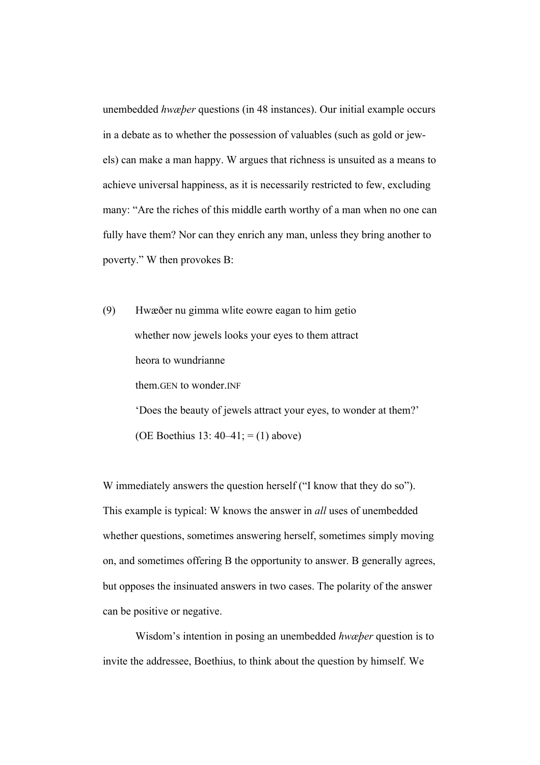unembedded *hwæþer* questions (in 48 instances). Our initial example occurs in a debate as to whether the possession of valuables (such as gold or jewels) can make a man happy. W argues that richness is unsuited as a means to achieve universal happiness, as it is necessarily restricted to few, excluding many: "Are the riches of this middle earth worthy of a man when no one can fully have them? Nor can they enrich any man, unless they bring another to poverty." W then provokes B:

(9) Hwæðer nu gimma wlite eowre eagan to him getio whether now jewels looks your eyes to them attract heora to wundrianne them.GEN to wonder.INF 'Does the beauty of jewels attract your eyes, to wonder at them?' (OE Boethius 13:  $40-41$ ; = (1) above)

W immediately answers the question herself ("I know that they do so"). This example is typical: W knows the answer in *all* uses of unembedded whether questions, sometimes answering herself, sometimes simply moving on, and sometimes offering B the opportunity to answer. B generally agrees, but opposes the insinuated answers in two cases. The polarity of the answer can be positive or negative.

 Wisdom's intention in posing an unembedded *hwæþer* question is to invite the addressee, Boethius, to think about the question by himself. We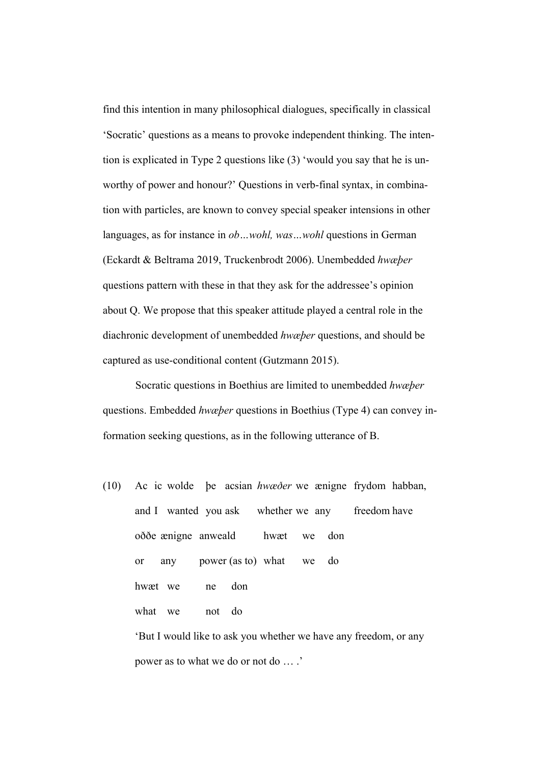find this intention in many philosophical dialogues, specifically in classical 'Socratic' questions as a means to provoke independent thinking. The intention is explicated in Type 2 questions like (3) 'would you say that he is unworthy of power and honour?' Questions in verb-final syntax, in combination with particles, are known to convey special speaker intensions in other languages, as for instance in *ob…wohl, was…wohl* questions in German (Eckardt & Beltrama 2019, Truckenbrodt 2006). Unembedded *hwæþer*  questions pattern with these in that they ask for the addressee's opinion about Q. We propose that this speaker attitude played a central role in the diachronic development of unembedded *hwæþer* questions, and should be captured as use-conditional content (Gutzmann 2015).

Socratic questions in Boethius are limited to unembedded *hwæþer*  questions. Embedded *hwæþer* questions in Boethius (Type 4) can convey information seeking questions, as in the following utterance of B.

(10) Ac ic wolde þe acsian *hwæðer* we ænigne frydom habban, and I wanted you ask whether we any freedom have oððe ænigne anweald hwæt we don or any power (as to) what we do hwæt we ne don what we not do 'But I would like to ask you whether we have any freedom, or any

power as to what we do or not do … .'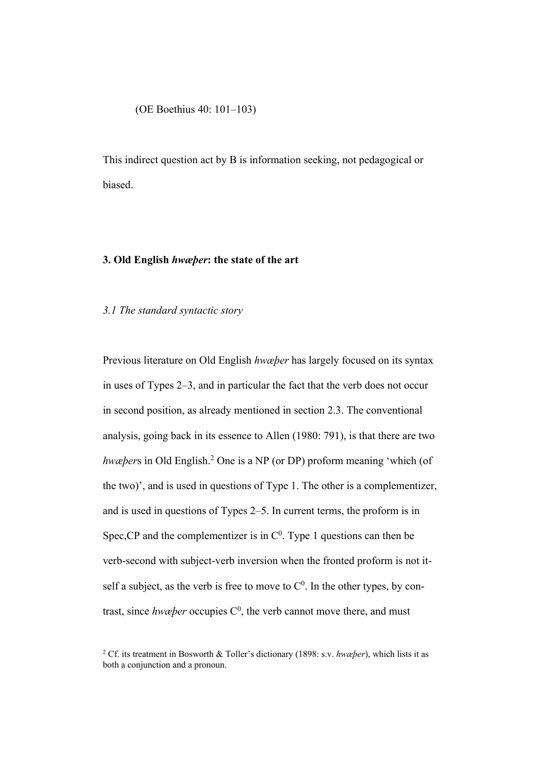(OE Boethius 40: 101–103)

This indirect question act by B is information seeking, not pedagogical or biased.

## **3. Old English** *hwæþer***: the state of the art**

#### *3.1 The standard syntactic story*

Previous literature on Old English *hwæþer* has largely focused on its syntax in uses of Types 2–3, and in particular the fact that the verb does not occur in second position, as already mentioned in section 2.3. The conventional analysis, going back in its essence to Allen (1980: 791), is that there are two *hwæþers* in Old English.<sup>2</sup> One is a NP (or DP) proform meaning 'which (of the two)', and is used in questions of Type 1. The other is a complementizer, and is used in questions of Types 2–5. In current terms, the proform is in Spec, CP and the complementizer is in  $C^0$ . Type 1 questions can then be verb-second with subject-verb inversion when the fronted proform is not itself a subject, as the verb is free to move to  $C^0$ . In the other types, by contrast, since *hwæper* occupies  $C^0$ , the verb cannot move there, and must

<sup>2</sup> Cf. its treatment in Bosworth & Toller's dictionary (1898: s.v. *hwæþer*), which lists it as both a conjunction and a pronoun.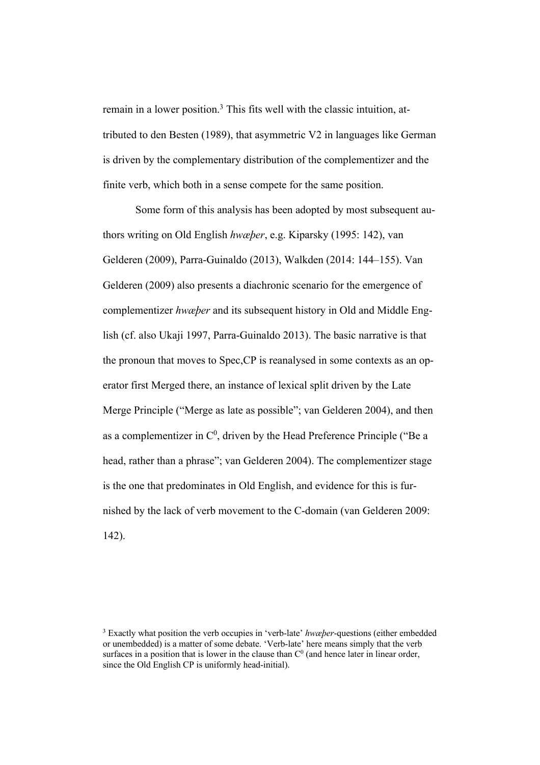remain in a lower position.<sup>3</sup> This fits well with the classic intuition, attributed to den Besten (1989), that asymmetric V2 in languages like German is driven by the complementary distribution of the complementizer and the finite verb, which both in a sense compete for the same position.

Some form of this analysis has been adopted by most subsequent authors writing on Old English *hwæþer*, e.g. Kiparsky (1995: 142), van Gelderen (2009), Parra-Guinaldo (2013), Walkden (2014: 144–155). Van Gelderen (2009) also presents a diachronic scenario for the emergence of complementizer *hwæþer* and its subsequent history in Old and Middle English (cf. also Ukaji 1997, Parra-Guinaldo 2013). The basic narrative is that the pronoun that moves to Spec,CP is reanalysed in some contexts as an operator first Merged there, an instance of lexical split driven by the Late Merge Principle ("Merge as late as possible"; van Gelderen 2004), and then as a complementizer in  $C^0$ , driven by the Head Preference Principle ("Be a head, rather than a phrase"; van Gelderen 2004). The complementizer stage is the one that predominates in Old English, and evidence for this is furnished by the lack of verb movement to the C-domain (van Gelderen 2009: 142).

<sup>3</sup> Exactly what position the verb occupies in 'verb-late' *hwæþer*-questions (either embedded or unembedded) is a matter of some debate. 'Verb-late' here means simply that the verb surfaces in a position that is lower in the clause than  $C<sup>0</sup>$  (and hence later in linear order, since the Old English CP is uniformly head-initial).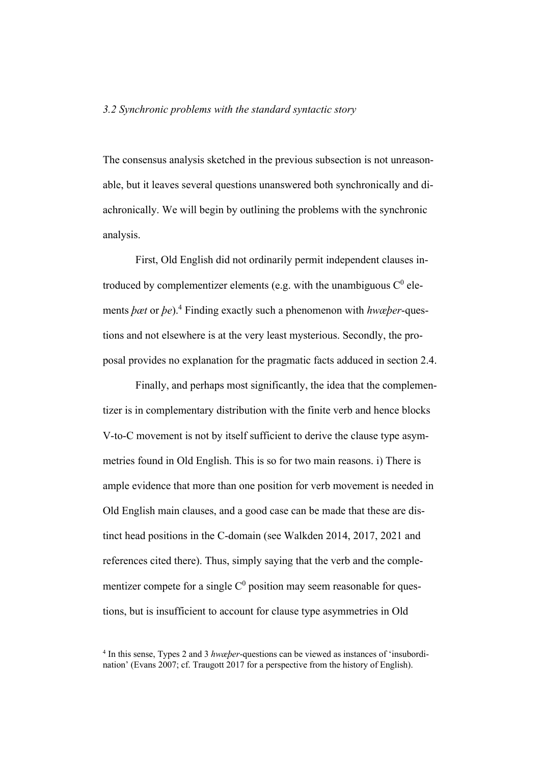## *3.2 Synchronic problems with the standard syntactic story*

The consensus analysis sketched in the previous subsection is not unreasonable, but it leaves several questions unanswered both synchronically and diachronically. We will begin by outlining the problems with the synchronic analysis.

First, Old English did not ordinarily permit independent clauses introduced by complementizer elements (e.g. with the unambiguous  $C^0$  elements *þæt* or *þe*).4 Finding exactly such a phenomenon with *hwæþer*-questions and not elsewhere is at the very least mysterious. Secondly, the proposal provides no explanation for the pragmatic facts adduced in section 2.4.

Finally, and perhaps most significantly, the idea that the complementizer is in complementary distribution with the finite verb and hence blocks V-to-C movement is not by itself sufficient to derive the clause type asymmetries found in Old English. This is so for two main reasons. i) There is ample evidence that more than one position for verb movement is needed in Old English main clauses, and a good case can be made that these are distinct head positions in the C-domain (see Walkden 2014, 2017, 2021 and references cited there). Thus, simply saying that the verb and the complementizer compete for a single  $C<sup>0</sup>$  position may seem reasonable for questions, but is insufficient to account for clause type asymmetries in Old

<sup>4</sup> In this sense, Types 2 and 3 *hwæþer*-questions can be viewed as instances of 'insubordination' (Evans 2007; cf. Traugott 2017 for a perspective from the history of English).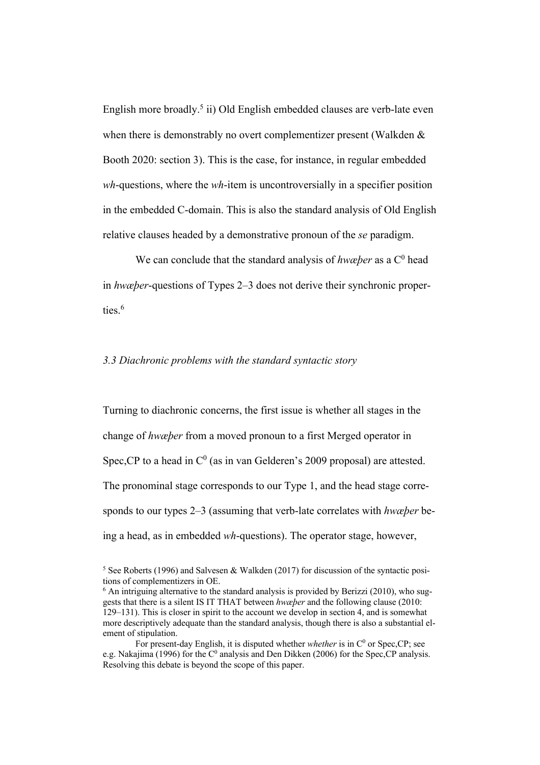English more broadly.<sup>5</sup> ii) Old English embedded clauses are verb-late even when there is demonstrably no overt complementizer present (Walkden & Booth 2020: section 3). This is the case, for instance, in regular embedded *wh*-questions, where the *wh*-item is uncontroversially in a specifier position in the embedded C-domain. This is also the standard analysis of Old English relative clauses headed by a demonstrative pronoun of the *se* paradigm.

We can conclude that the standard analysis of *hwæper* as a C<sup>0</sup> head in *hwæþer*-questions of Types 2–3 does not derive their synchronic properties. 6

## *3.3 Diachronic problems with the standard syntactic story*

Turning to diachronic concerns, the first issue is whether all stages in the change of *hwæþer* from a moved pronoun to a first Merged operator in Spec, CP to a head in  $C^0$  (as in van Gelderen's 2009 proposal) are attested. The pronominal stage corresponds to our Type 1, and the head stage corresponds to our types 2–3 (assuming that verb-late correlates with *hwæþer* being a head, as in embedded *wh*-questions). The operator stage, however,

 $5$  See Roberts (1996) and Salvesen & Walkden (2017) for discussion of the syntactic positions of complementizers in OE.

 $6$  An intriguing alternative to the standard analysis is provided by Berizzi (2010), who suggests that there is a silent IS IT THAT between *hwæþer* and the following clause (2010: 129–131). This is closer in spirit to the account we develop in section 4, and is somewhat more descriptively adequate than the standard analysis, though there is also a substantial element of stipulation.

For present-day English, it is disputed whether *whether* is in C<sup>0</sup> or Spec,CP; see e.g. Nakajima (1996) for the  $C^0$  analysis and Den Dikken (2006) for the Spec, CP analysis. Resolving this debate is beyond the scope of this paper.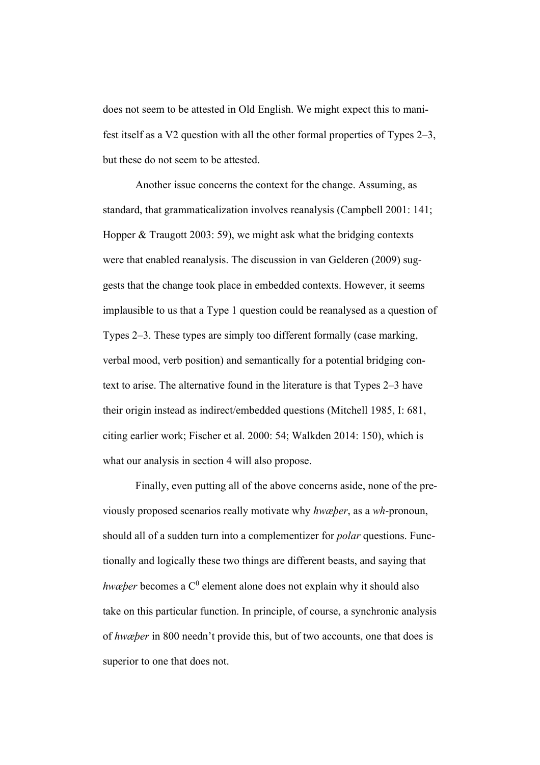does not seem to be attested in Old English. We might expect this to manifest itself as a V2 question with all the other formal properties of Types 2–3, but these do not seem to be attested.

Another issue concerns the context for the change. Assuming, as standard, that grammaticalization involves reanalysis (Campbell 2001: 141; Hopper & Traugott 2003: 59), we might ask what the bridging contexts were that enabled reanalysis. The discussion in van Gelderen (2009) suggests that the change took place in embedded contexts. However, it seems implausible to us that a Type 1 question could be reanalysed as a question of Types 2–3. These types are simply too different formally (case marking, verbal mood, verb position) and semantically for a potential bridging context to arise. The alternative found in the literature is that Types 2–3 have their origin instead as indirect/embedded questions (Mitchell 1985, I: 681, citing earlier work; Fischer et al. 2000: 54; Walkden 2014: 150), which is what our analysis in section 4 will also propose.

Finally, even putting all of the above concerns aside, none of the previously proposed scenarios really motivate why *hwæþer*, as a *wh*-pronoun, should all of a sudden turn into a complementizer for *polar* questions. Functionally and logically these two things are different beasts, and saying that *hwæþer* becomes a C<sup>0</sup> element alone does not explain why it should also take on this particular function. In principle, of course, a synchronic analysis of *hwæþer* in 800 needn't provide this, but of two accounts, one that does is superior to one that does not.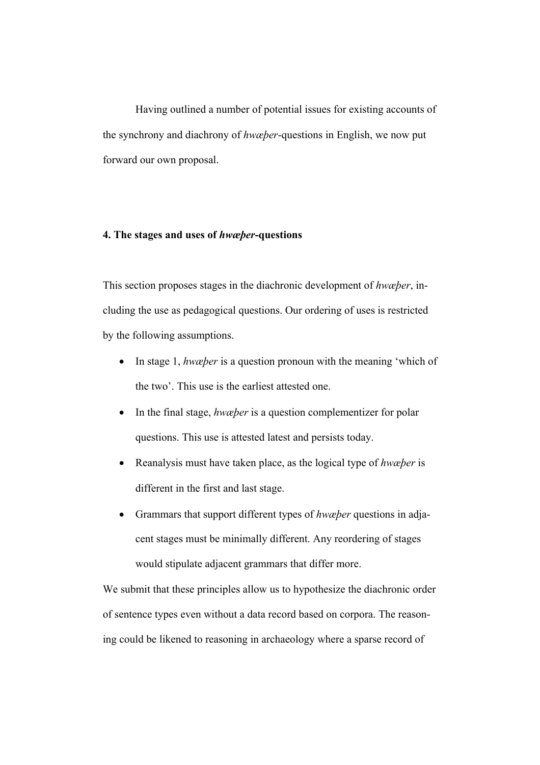Having outlined a number of potential issues for existing accounts of the synchrony and diachrony of *hwæþer*-questions in English, we now put forward our own proposal.

## **4. The stages and uses of** *hwæþer***-questions**

This section proposes stages in the diachronic development of *hwæþer*, including the use as pedagogical questions. Our ordering of uses is restricted by the following assumptions.

- In stage 1, *hwæþer* is a question pronoun with the meaning 'which of the two'. This use is the earliest attested one.
- In the final stage, *hwæber* is a question complementizer for polar questions. This use is attested latest and persists today.
- Reanalysis must have taken place, as the logical type of *hwæþer* is different in the first and last stage.
- Grammars that support different types of *hwæþer* questions in adjacent stages must be minimally different. Any reordering of stages would stipulate adjacent grammars that differ more.

We submit that these principles allow us to hypothesize the diachronic order of sentence types even without a data record based on corpora. The reasoning could be likened to reasoning in archaeology where a sparse record of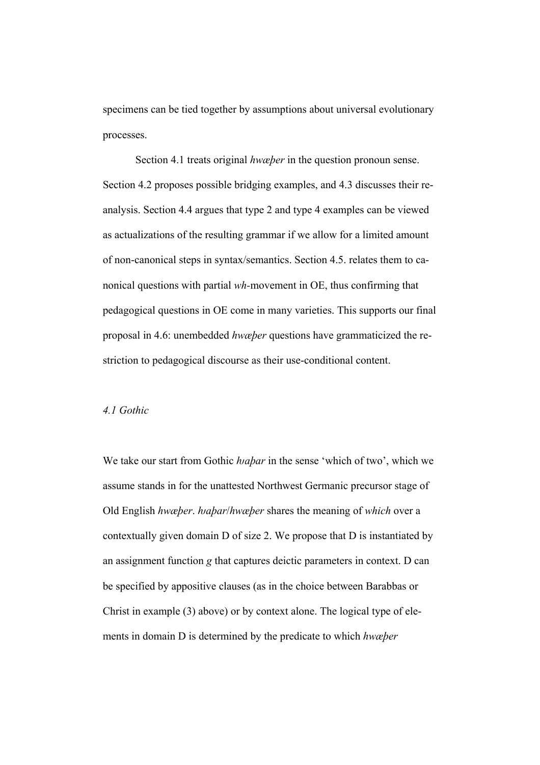specimens can be tied together by assumptions about universal evolutionary processes.

Section 4.1 treats original *hwæþer* in the question pronoun sense. Section 4.2 proposes possible bridging examples, and 4.3 discusses their reanalysis. Section 4.4 argues that type 2 and type 4 examples can be viewed as actualizations of the resulting grammar if we allow for a limited amount of non-canonical steps in syntax/semantics. Section 4.5. relates them to canonical questions with partial *wh-*movement in OE, thus confirming that pedagogical questions in OE come in many varieties. This supports our final proposal in 4.6: unembedded *hwæþer* questions have grammaticized the restriction to pedagogical discourse as their use-conditional content.

#### *4.1 Gothic*

We take our start from Gothic *habar* in the sense 'which of two', which we assume stands in for the unattested Northwest Germanic precursor stage of Old English *hwæþer*. *ƕaþar*/*hwæþer* shares the meaning of *which* over a contextually given domain D of size 2. We propose that D is instantiated by an assignment function *g* that captures deictic parameters in context. D can be specified by appositive clauses (as in the choice between Barabbas or Christ in example (3) above) or by context alone. The logical type of elements in domain D is determined by the predicate to which *hwæþer*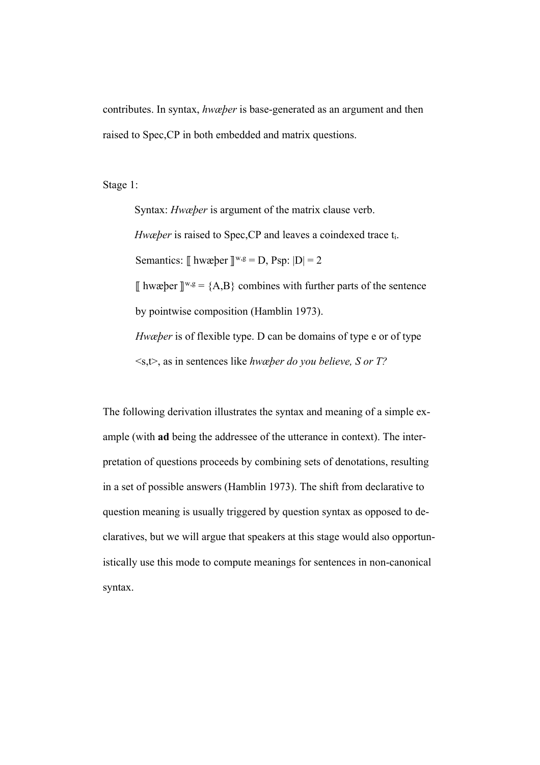contributes. In syntax, *hwæþer* is base-generated as an argument and then raised to Spec,CP in both embedded and matrix questions.

Stage 1:

Syntax: *Hwæþer* is argument of the matrix clause verb. *Hwæþer* is raised to Spec, CP and leaves a coindexed trace t<sub>i</sub>. Semantics:  $\parallel$  hwæþer  $\parallel^{w,g} = D$ , Psp:  $|D| = 2$  $\parallel$  hwæþer  $\parallel^{w,g}$  = {A,B} combines with further parts of the sentence by pointwise composition (Hamblin 1973). *Hwæþer* is of flexible type. D can be domains of type e or of type <s,t>, as in sentences like *hwæþer do you believe, S or T?*

The following derivation illustrates the syntax and meaning of a simple example (with **ad** being the addressee of the utterance in context). The interpretation of questions proceeds by combining sets of denotations, resulting in a set of possible answers (Hamblin 1973). The shift from declarative to question meaning is usually triggered by question syntax as opposed to declaratives, but we will argue that speakers at this stage would also opportunistically use this mode to compute meanings for sentences in non-canonical syntax.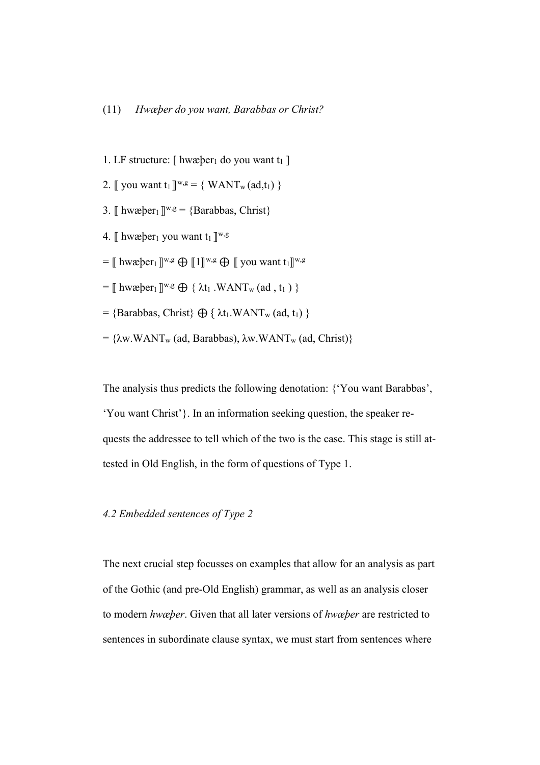- 1. LF structure:  $\lceil \text{hwæper}_1 \rceil$  do you want t<sub>1</sub>  $\lceil \text{Herm} \rceil$
- 2.  $\lbrack \!\lbrack$  you want t<sub>1</sub>  $\lbrack \rbrack^{w,g}$  = { WANT<sub>w</sub> (ad,t<sub>1</sub>) }
- 3.  $\mathbb{I}$  hwæþer<sub>1</sub>  $\mathbb{I}^{w,g} = \{Barabbas, Christ\}$
- 4.  $\lbrack \cdot \rbrack$  hwæber<sub>1</sub> you want t<sub>1</sub>  $\lbrack \rbrack^{w,g}$
- $=\mathbb{I}$  hwæþer<sub>1</sub> $\mathbb{I}^{\mathbf{w},\mathbf{g}}$   $\oplus$   $\mathbb{I}$   $\mathbb{I}^{\mathbf{w},\mathbf{g}}$   $\oplus$   $\mathbb{I}$  you want  $t_1\mathbb{I}^{\mathbf{w},\mathbf{g}}$
- $=$   $\parallel$  hwæþer<sub>1</sub>  $\parallel$ <sup>w,g</sup>  $\oplus$  {  $\lambda$ t<sub>1</sub> .WANT<sub>w</sub> (ad, t<sub>1</sub>) }
- $=$  {Barabbas, Christ}  $\bigoplus$  {  $\lambda t_1.WANT_w$  (ad, t<sub>1</sub>) }
- =  $\{\lambda w.WANT_w$  (ad, Barabbas),  $\lambda w.WANT_w$  (ad, Christ)}

The analysis thus predicts the following denotation: {'You want Barabbas', 'You want Christ'}. In an information seeking question, the speaker requests the addressee to tell which of the two is the case. This stage is still attested in Old English, in the form of questions of Type 1.

# *4.2 Embedded sentences of Type 2*

The next crucial step focusses on examples that allow for an analysis as part of the Gothic (and pre-Old English) grammar, as well as an analysis closer to modern *hwæþer*. Given that all later versions of *hwæþer* are restricted to sentences in subordinate clause syntax, we must start from sentences where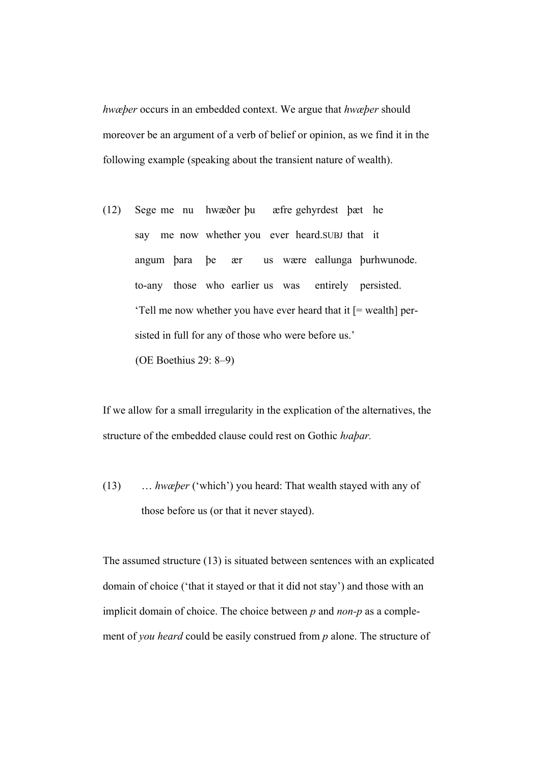*hwæþer* occurs in an embedded context. We argue that *hwæþer* should moreover be an argument of a verb of belief or opinion, as we find it in the following example (speaking about the transient nature of wealth).

(12) Sege me nu hwæðer þu æfre gehyrdest þæt he say me now whether you ever heard.SUBJ that it angum þara þe ær us wære eallunga þurhwunode. to-any those who earlier us was entirely persisted. 'Tell me now whether you have ever heard that it [= wealth] persisted in full for any of those who were before us.' (OE Boethius 29: 8–9)

If we allow for a small irregularity in the explication of the alternatives, the structure of the embedded clause could rest on Gothic *habar*.

(13) … *hwæþer* ('which') you heard: That wealth stayed with any of those before us (or that it never stayed).

The assumed structure (13) is situated between sentences with an explicated domain of choice ('that it stayed or that it did not stay') and those with an implicit domain of choice. The choice between *p* and *non-p* as a complement of *you heard* could be easily construed from *p* alone. The structure of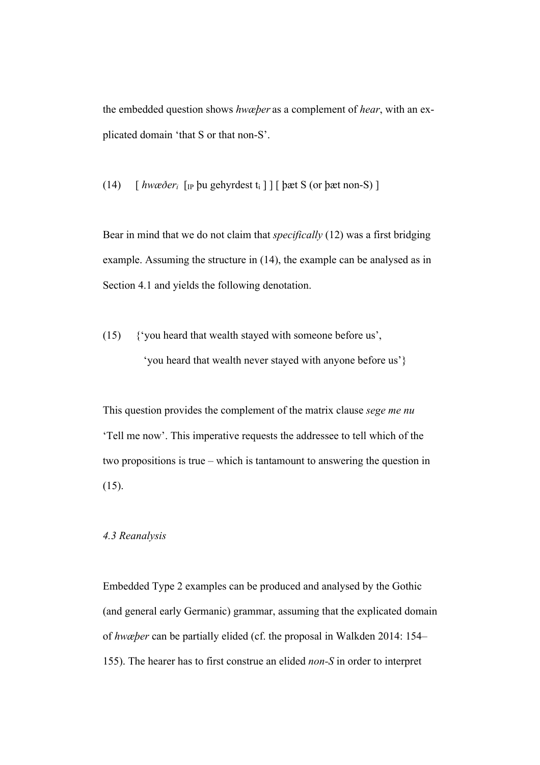the embedded question shows *hwæþer* as a complement of *hear*, with an explicated domain 'that S or that non-S'.

(14) [ *hwæðeri* [IP þu gehyrdest ti ] ] [ þæt S (or þæt non-S) ]

Bear in mind that we do not claim that *specifically* (12) was a first bridging example. Assuming the structure in (14), the example can be analysed as in Section 4.1 and yields the following denotation.

(15) {'you heard that wealth stayed with someone before us', 'you heard that wealth never stayed with anyone before us'}

This question provides the complement of the matrix clause *sege me nu* 'Tell me now'. This imperative requests the addressee to tell which of the two propositions is true – which is tantamount to answering the question in (15).

## *4.3 Reanalysis*

Embedded Type 2 examples can be produced and analysed by the Gothic (and general early Germanic) grammar, assuming that the explicated domain of *hwæþer* can be partially elided (cf. the proposal in Walkden 2014: 154– 155). The hearer has to first construe an elided *non-S* in order to interpret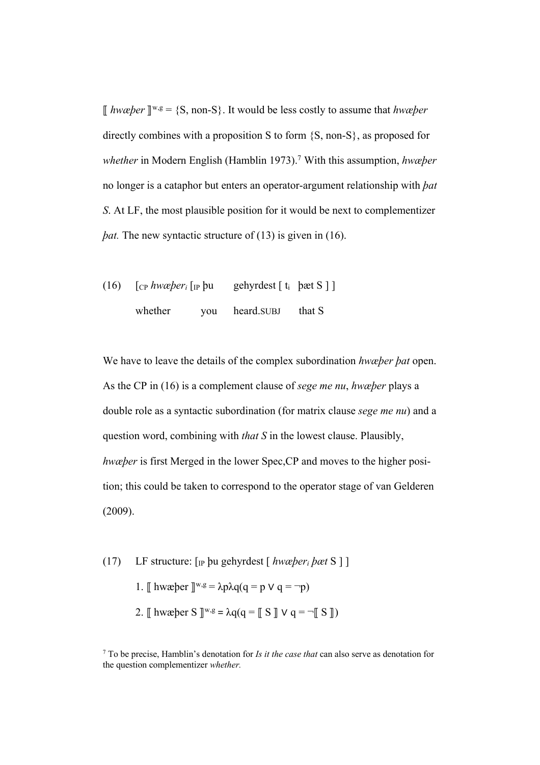⟦ *hwæþer* ⟧w,g = {S, non-S}. It would be less costly to assume that *hwæþer* directly combines with a proposition S to form {S, non-S}, as proposed for *whether* in Modern English (Hamblin 1973). <sup>7</sup> With this assumption, *hwæþer* no longer is a cataphor but enters an operator-argument relationship with *þat S*. At LF, the most plausible position for it would be next to complementizer *bat.* The new syntactic structure of (13) is given in (16).

(16)  $\int_{\text{CP}}$  *hwæber<sub>i</sub>*  $\int_{\text{IP}}$  bu gehyrdest  $\int_{\text{t}}$  bæt S  $\int$ whether you heard.SUBJ that S

We have to leave the details of the complex subordination *hwæþer þat* open. As the CP in (16) is a complement clause of *sege me nu*, *hwæþer* plays a double role as a syntactic subordination (for matrix clause *sege me nu*) and a question word, combining with *that S* in the lowest clause. Plausibly, *hwæþer* is first Merged in the lower Spec,CP and moves to the higher position; this could be taken to correspond to the operator stage of van Gelderen (2009).

- (17) LF structure: [IP þu gehyrdest [ *hwæþeri þæt* S ] ]
	- 1. [[ hwæþer ][<sup>w,g</sup> = λpλq(q = p V q = ¬p)
	- 2.  $\parallel$  hwæþer S  $\parallel^{w,g} = \lambda q (q = \parallel S \parallel V q = \neg \parallel S \parallel)$

<sup>7</sup> To be precise, Hamblin's denotation for *Is it the case that* can also serve as denotation for the question complementizer *whether.*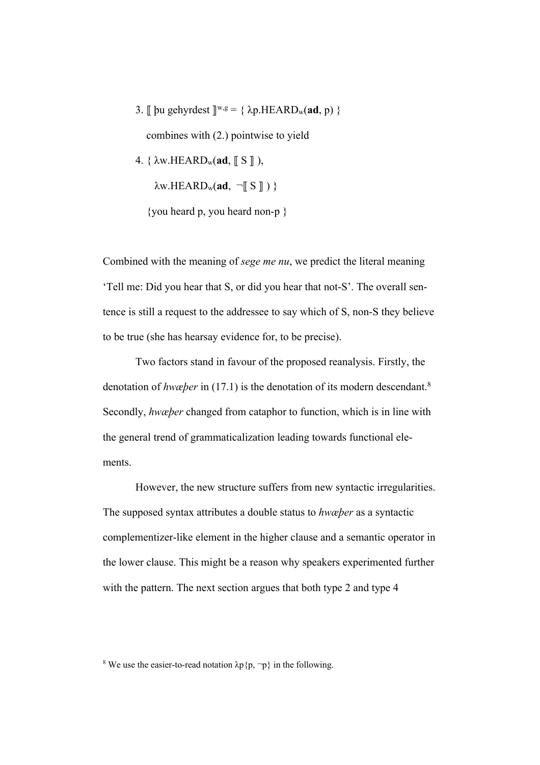3.  $\parallel$  bu gehyrdest  $\parallel^{w,g} = {\{ \lambda p.HEARD_w(\mathbf{ad}, p) \} }$ 

combines with (2.) pointwise to yield

4. { λw.HEARDw(**ad**, ⟦ S ⟧ ),

 $\lambda$ w.HEARD<sub>w</sub>(ad,  $\neg$ [S]) }

{you heard p, you heard non-p }

Combined with the meaning of *sege me nu*, we predict the literal meaning 'Tell me: Did you hear that S, or did you hear that not-S'. The overall sentence is still a request to the addressee to say which of S, non-S they believe to be true (she has hearsay evidence for, to be precise).

 Two factors stand in favour of the proposed reanalysis. Firstly, the denotation of *hwæþer* in (17.1) is the denotation of its modern descendant.8 Secondly, *hwæþer* changed from cataphor to function, which is in line with the general trend of grammaticalization leading towards functional elements.

 However, the new structure suffers from new syntactic irregularities. The supposed syntax attributes a double status to *hwæþer* as a syntactic complementizer-like element in the higher clause and a semantic operator in the lower clause. This might be a reason why speakers experimented further with the pattern. The next section argues that both type 2 and type 4

<sup>&</sup>lt;sup>8</sup> We use the easier-to-read notation  $\lambda p \{p, \neg p\}$  in the following.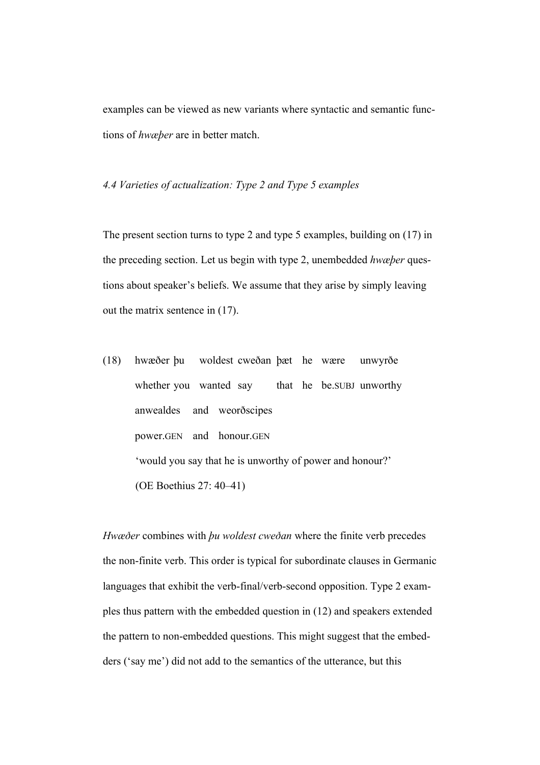examples can be viewed as new variants where syntactic and semantic functions of *hwæþer* are in better match.

*4.4 Varieties of actualization: Type 2 and Type 5 examples*

The present section turns to type 2 and type 5 examples, building on (17) in the preceding section. Let us begin with type 2, unembedded *hwæþer* questions about speaker's beliefs. We assume that they arise by simply leaving out the matrix sentence in (17).

(18) hwæðer þu woldest cweðan þæt he wære unwyrðe whether you wanted say that he be.SUBJ unworthy anwealdes and weorðscipes power.GEN and honour.GEN 'would you say that he is unworthy of power and honour?' (OE Boethius 27: 40–41)

*Hwæðer* combines with *þu woldest cweðan* where the finite verb precedes the non-finite verb. This order is typical for subordinate clauses in Germanic languages that exhibit the verb-final/verb-second opposition. Type 2 examples thus pattern with the embedded question in (12) and speakers extended the pattern to non-embedded questions. This might suggest that the embedders ('say me') did not add to the semantics of the utterance, but this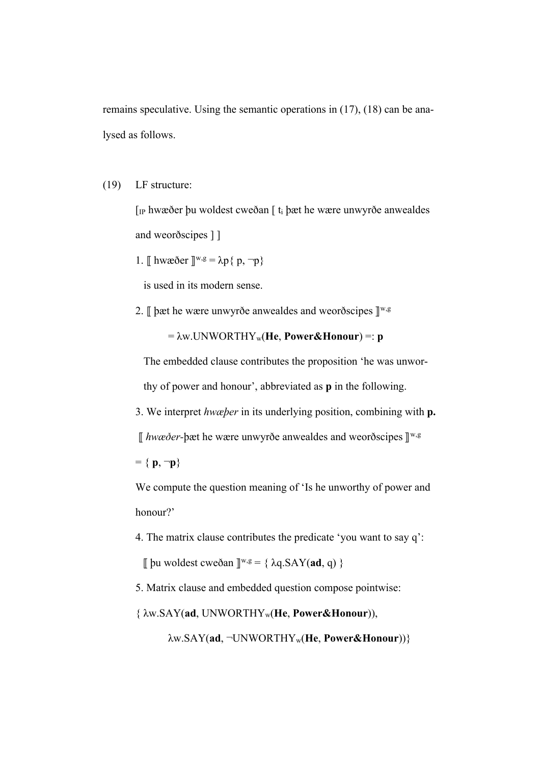remains speculative. Using the semantic operations in (17), (18) can be analysed as follows.

(19) LF structure:

 [IP hwæðer þu woldest cweðan [ ti þæt he wære unwyrðe anwealdes and weorðscipes ] ]

1. 
$$
\parallel
$$
 hwaðer  $\parallel^{w,g} = \lambda p \{ p, \neg p \}$ 

is used in its modern sense.

2.  $\llbracket$  þæt he wære unwyrðe anwealdes and weorðscipes  $\rrbracket^{w,g}$ 

 $= \lambda w$ . UNWORTHY<sub>w</sub>(He, **Power&Honour**) =: **p** 

 The embedded clause contributes the proposition 'he was unwor thy of power and honour', abbreviated as **p** in the following.

3. We interpret *hwæþer* in its underlying position, combining with **p.**

⟦ *hwæðer-*þæt he wære unwyrðe anwealdes and weorðscipes ⟧w,g

 $= \{ p, \neg p \}$ 

 We compute the question meaning of 'Is he unworthy of power and honour?'

4. The matrix clause contributes the predicate 'you want to say q':

 $\parallel$  bu woldest cweðan  $\parallel^{w,g} = {\{ \lambda q.SAY(ad, q) \}}$ 

5. Matrix clause and embedded question compose pointwise:

{ λw.SAY(**ad**, UNWORTHYw(**He**, **Power&Honour**)),

λw.SAY(**ad**, ¬UNWORTHYw(**He**, **Power&Honour**))}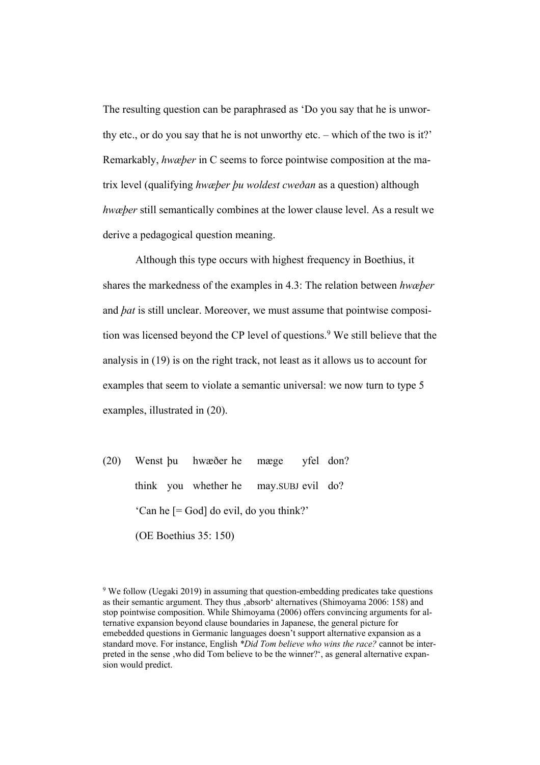The resulting question can be paraphrased as 'Do you say that he is unworthy etc., or do you say that he is not unworthy etc. – which of the two is it?' Remarkably, *hwæþer* in C seems to force pointwise composition at the matrix level (qualifying *hwæþer þu woldest cweðan* as a question) although *hwæþer* still semantically combines at the lower clause level. As a result we derive a pedagogical question meaning.

Although this type occurs with highest frequency in Boethius, it shares the markedness of the examples in 4.3: The relation between *hwæþer* and *þat* is still unclear. Moreover, we must assume that pointwise composition was licensed beyond the CP level of questions. <sup>9</sup> We still believe that the analysis in (19) is on the right track, not least as it allows us to account for examples that seem to violate a semantic universal: we now turn to type 5 examples, illustrated in (20).

(20) Wenst þu hwæðer he mæge yfel don? think you whether he may.SUBJ evil do? 'Can he [= God] do evil, do you think?' (OE Boethius 35: 150)

 $9$  We follow (Uegaki 2019) in assuming that question-embedding predicates take questions as their semantic argument. They thus 'absorb' alternatives (Shimoyama 2006: 158) and stop pointwise composition. While Shimoyama (2006) offers convincing arguments for alternative expansion beyond clause boundaries in Japanese, the general picture for emebedded questions in Germanic languages doesn't support alternative expansion as a standard move. For instance, English *\*Did Tom believe who wins the race?* cannot be interpreted in the sense, who did Tom believe to be the winner?', as general alternative expansion would predict.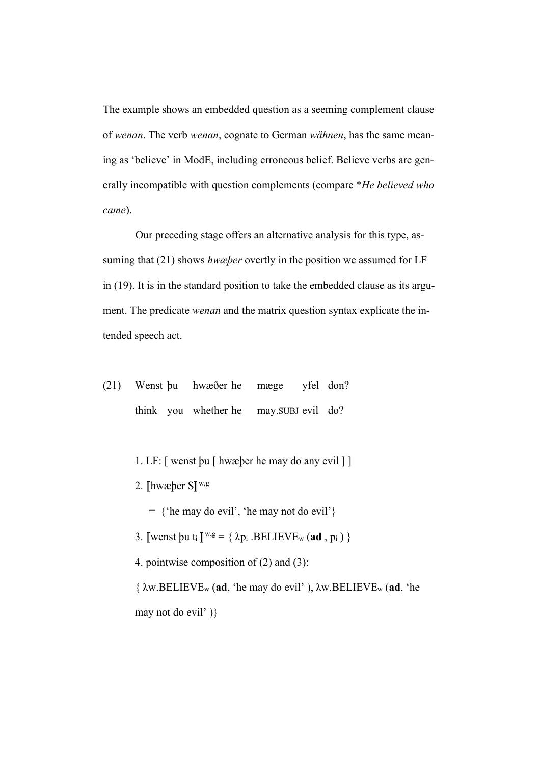The example shows an embedded question as a seeming complement clause of *wenan*. The verb *wenan*, cognate to German *wähnen*, has the same meaning as 'believe' in ModE, including erroneous belief. Believe verbs are generally incompatible with question complements (compare \**He believed who came*).

Our preceding stage offers an alternative analysis for this type, assuming that (21) shows *hwæþer* overtly in the position we assumed for LF in (19). It is in the standard position to take the embedded clause as its argument. The predicate *wenan* and the matrix question syntax explicate the intended speech act.

- (21) Wenst þu hwæðer he mæge yfel don? think you whether he may.SUBJ evil do?
	- 1. LF: [ wenst þu [ hwæþer he may do any evil ] ]
	- 2.  $\lbrack\!\lbrack$ hwæþer S $\rbrack\!\rbrack^{w,g}$ 
		- = {'he may do evil', 'he may not do evil'}
	- 3.  $[$ wenst þu t<sub>i</sub>  $]^{w,g} = \{ \lambda p_i \cdot \text{BELIEVE}_w (\text{ad}, p_i) \}$
	- 4. pointwise composition of (2) and (3):

{ λw.BELIEVEw (**ad**, 'he may do evil' ), λw.BELIEVEw (**ad**, 'he may not do evil' )}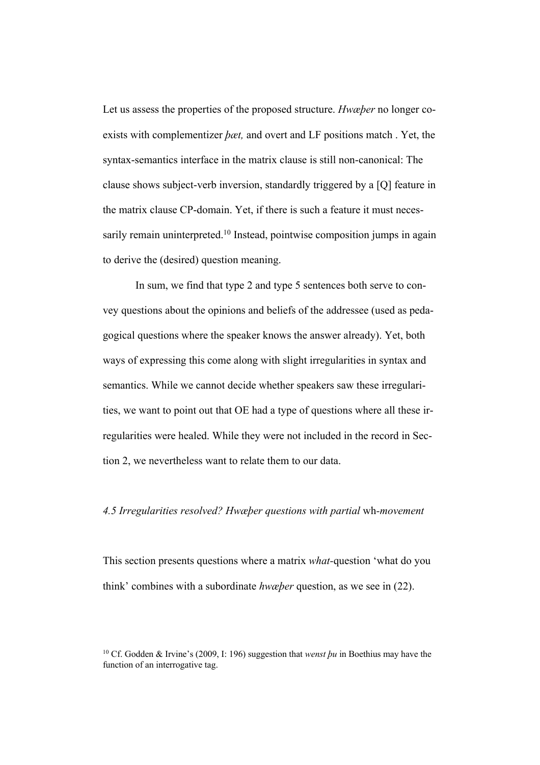Let us assess the properties of the proposed structure. *Hwæþer* no longer coexists with complementizer *þæt,* and overt and LF positions match . Yet, the syntax-semantics interface in the matrix clause is still non-canonical: The clause shows subject-verb inversion, standardly triggered by a [Q] feature in the matrix clause CP-domain. Yet, if there is such a feature it must necessarily remain uninterpreted.<sup>10</sup> Instead, pointwise composition jumps in again to derive the (desired) question meaning.

In sum, we find that type 2 and type 5 sentences both serve to convey questions about the opinions and beliefs of the addressee (used as pedagogical questions where the speaker knows the answer already). Yet, both ways of expressing this come along with slight irregularities in syntax and semantics. While we cannot decide whether speakers saw these irregularities, we want to point out that OE had a type of questions where all these irregularities were healed. While they were not included in the record in Section 2, we nevertheless want to relate them to our data.

## *4.5 Irregularities resolved? Hwæþer questions with partial* wh*-movement*

This section presents questions where a matrix *what-*question 'what do you think' combines with a subordinate *hwæþer* question, as we see in (22).

<sup>10</sup> Cf. Godden & Irvine's (2009, I: 196) suggestion that *wenst þu* in Boethius may have the function of an interrogative tag.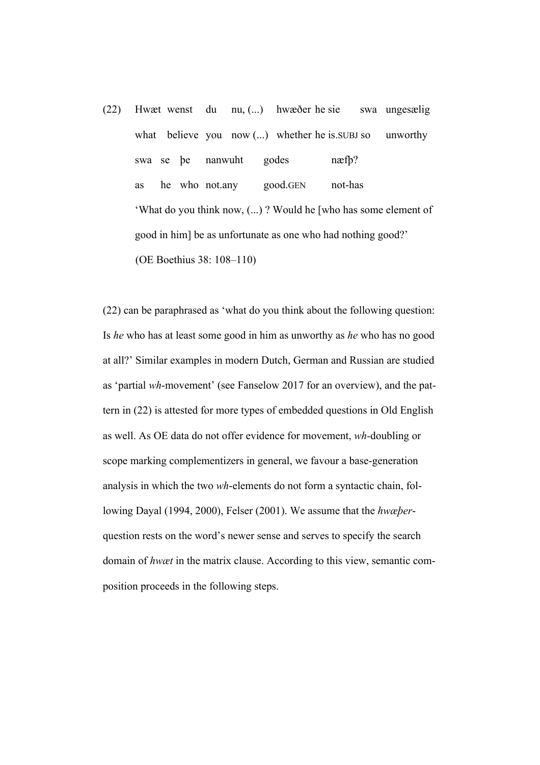(22) Hwæt wenst du nu, (...) hwæðer he sie swa ungesælig what believe you now (...) whether he is supply so unworthy swa se þe nanwuht godes næfþ? as he who not.any good.GEN not-has 'What do you think now, (...) ? Would he [who has some element of good in him] be as unfortunate as one who had nothing good?' (OE Boethius 38: 108–110)

(22) can be paraphrased as 'what do you think about the following question: Is *he* who has at least some good in him as unworthy as *he* who has no good at all?' Similar examples in modern Dutch, German and Russian are studied as 'partial *wh*-movement' (see Fanselow 2017 for an overview), and the pattern in (22) is attested for more types of embedded questions in Old English as well. As OE data do not offer evidence for movement, *wh-*doubling or scope marking complementizers in general, we favour a base-generation analysis in which the two *wh*-elements do not form a syntactic chain, following Dayal (1994, 2000), Felser (2001). We assume that the *hwæþer*question rests on the word's newer sense and serves to specify the search domain of *hwæt* in the matrix clause. According to this view, semantic composition proceeds in the following steps.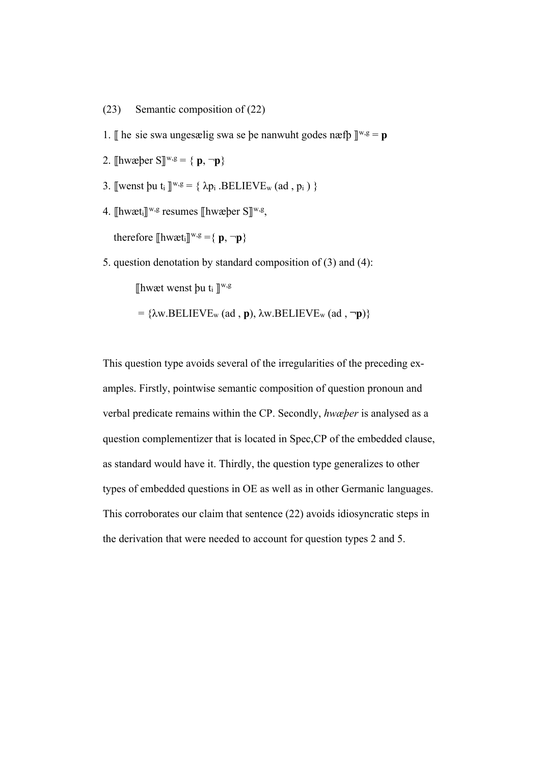- (23) Semantic composition of (22)
- 1.  $\mathbb{I}$  he sie swa ungesælig swa se be nanwuht godes næfb  $\mathbb{I}^{w,g} = \mathbf{p}$
- 2.  $[\text{hwæper } S]^{w,g} = \{ p, \neg p \}$
- 3.  $\sqrt{w}$ wenst þu t<sub>i</sub>  $\sqrt{w}$ ,  $g = \{ \lambda p_i \cdot \text{BELIEVE}_w \}$  (ad,  $p_i \}$ )
- 4.  $\left[\text{hwæt}_{i}\right]^{\text{w},\text{g}}$  resumes  $\left[\text{hwæber S}\right]^{\text{w},\text{g}}$ , therefore  $[\text{hwæt}_i]^{\text{w,g}} = \{ \mathbf{p}, \neg \mathbf{p} \}$
- 5. question denotation by standard composition of (3) and (4):

 $\lbrack\!\lbrack$ hwæt wenst þu t<sub>i</sub>  $\lbrack\!\lbrack^{\text{w,g}}\rbrack$ 

 $= {\lambda w.BELIEVE_w (ad, p), \lambda w.BELIEVE_w (ad, \neg p)}$ 

This question type avoids several of the irregularities of the preceding examples. Firstly, pointwise semantic composition of question pronoun and verbal predicate remains within the CP. Secondly, *hwæþer* is analysed as a question complementizer that is located in Spec,CP of the embedded clause, as standard would have it. Thirdly, the question type generalizes to other types of embedded questions in OE as well as in other Germanic languages. This corroborates our claim that sentence (22) avoids idiosyncratic steps in the derivation that were needed to account for question types 2 and 5.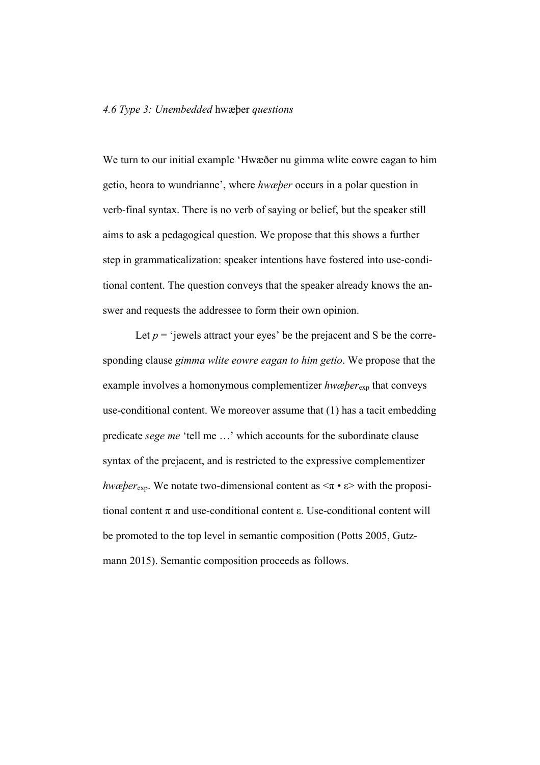We turn to our initial example 'Hwæðer nu gimma wlite eowre eagan to him getio, heora to wundrianne', where *hwæþer* occurs in a polar question in verb-final syntax. There is no verb of saying or belief, but the speaker still aims to ask a pedagogical question. We propose that this shows a further step in grammaticalization: speaker intentions have fostered into use-conditional content. The question conveys that the speaker already knows the answer and requests the addressee to form their own opinion.

Let  $p =$  'jewels attract your eyes' be the prejacent and S be the corresponding clause *gimma wlite eowre eagan to him getio*. We propose that the example involves a homonymous complementizer *hwæþer*exp that conveys use-conditional content. We moreover assume that (1) has a tacit embedding predicate *sege me* 'tell me …' which accounts for the subordinate clause syntax of the prejacent, and is restricted to the expressive complementizer *hwæþer*<sub>exp</sub>. We notate two-dimensional content as  $\langle \pi \cdot \varepsilon \rangle$  with the propositional content  $\pi$  and use-conditional content  $\varepsilon$ . Use-conditional content will be promoted to the top level in semantic composition (Potts 2005, Gutzmann 2015). Semantic composition proceeds as follows.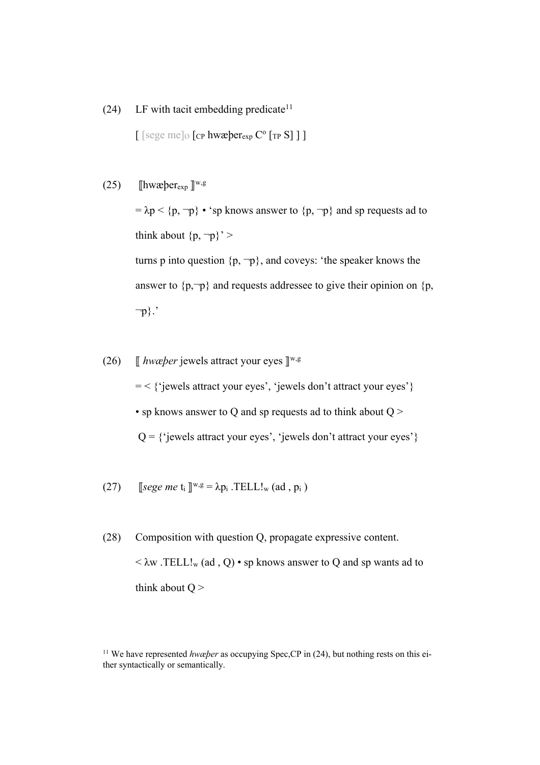(24) LF with tacit embedding predicate<sup>11</sup>

 $\lceil \left[ \text{sege me} \right] \oslash \left[ \text{cp hwæ} \right] \text{er} \text{exp} \left[ \text{cp S} \right] \rceil$ 

(25)  $\left[\text{hwæ} \right]$   $\mathbb{R}^{\text{w,g}}$ 

 $= \lambda p \langle p, \neg p \rangle$  • 'sp knows answer to  $\{p, \neg p\}$  and sp requests ad to think about  $\{p, \neg p\}$ ' > turns p into question  $\{p, \neg p\}$ , and coveys: 'the speaker knows the

answer to  $\{p, \neg p\}$  and requests addressee to give their opinion on  $\{p, \neg p\}$ ¬p}.'

(26)  $\int$  *hwæper* jewels attract your eyes  $\mathbb{I}^{w,g}$ = < {'jewels attract your eyes', 'jewels don't attract your eyes'} • sp knows answer to Q and sp requests ad to think about  $Q$  >  $Q = \{$ 'jewels attract your eyes', 'jewels don't attract your eyes'}

(27) [see me t<sub>i</sub> ]<sup>w,g</sup> = 
$$
\lambda p_i
$$
.TELL!<sub>w</sub> (ad, p<sub>i</sub>)

(28) Composition with question Q, propagate expressive content.  $\langle \lambda w \cdot \text{TELL!}_w(\text{ad}, Q) \cdot sp$  knows answer to Q and sp wants ad to think about  $Q$  >

<sup>&</sup>lt;sup>11</sup> We have represented *hwæper* as occupying Spec, CP in (24), but nothing rests on this either syntactically or semantically.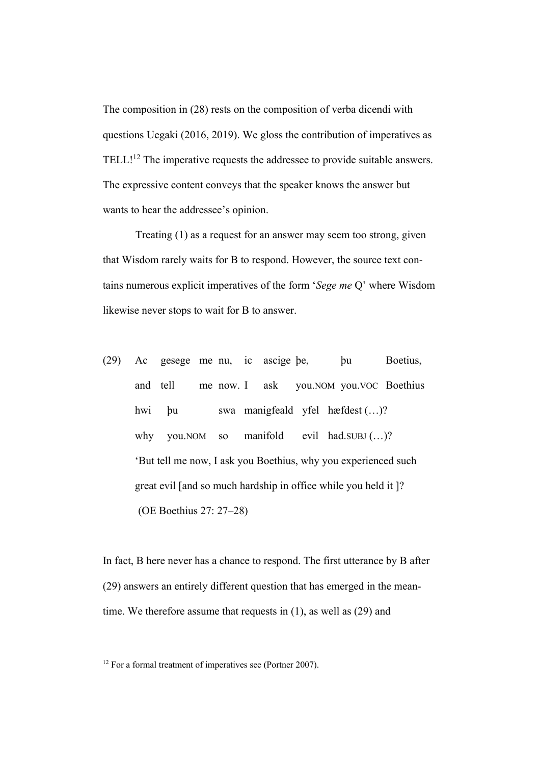The composition in (28) rests on the composition of verba dicendi with questions Uegaki (2016, 2019). We gloss the contribution of imperatives as TELL!<sup>12</sup> The imperative requests the addressee to provide suitable answers. The expressive content conveys that the speaker knows the answer but wants to hear the addressee's opinion.

Treating (1) as a request for an answer may seem too strong, given that Wisdom rarely waits for B to respond. However, the source text contains numerous explicit imperatives of the form '*Sege me* Q' where Wisdom likewise never stops to wait for B to answer.

(29) Ac gesege me nu, ic ascige þe, þu Boetius, and tell me now. I ask you.NOM you.VOC Boethius hwi þu swa manigfeald yfel hæfdest (…)? why you.NOM so manifold evil had.SUBJ (...)? 'But tell me now, I ask you Boethius, why you experienced such great evil [and so much hardship in office while you held it ]? (OE Boethius 27: 27–28)

In fact, B here never has a chance to respond. The first utterance by B after (29) answers an entirely different question that has emerged in the meantime. We therefore assume that requests in (1), as well as (29) and

<sup>&</sup>lt;sup>12</sup> For a formal treatment of imperatives see (Portner 2007).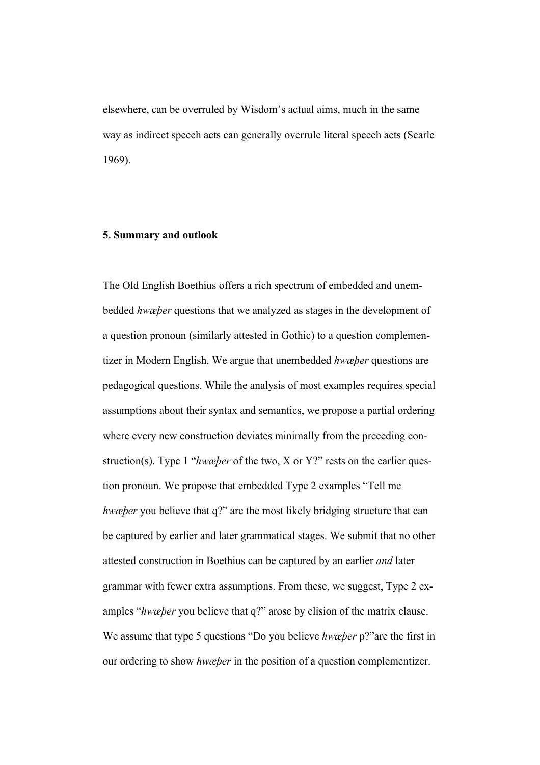elsewhere, can be overruled by Wisdom's actual aims, much in the same way as indirect speech acts can generally overrule literal speech acts (Searle 1969).

## **5. Summary and outlook**

The Old English Boethius offers a rich spectrum of embedded and unembedded *hwæþer* questions that we analyzed as stages in the development of a question pronoun (similarly attested in Gothic) to a question complementizer in Modern English. We argue that unembedded *hwæþer* questions are pedagogical questions. While the analysis of most examples requires special assumptions about their syntax and semantics, we propose a partial ordering where every new construction deviates minimally from the preceding construction(s). Type 1 "*hwæþer* of the two, X or Y?" rests on the earlier question pronoun. We propose that embedded Type 2 examples "Tell me *hwæþer* you believe that q?" are the most likely bridging structure that can be captured by earlier and later grammatical stages. We submit that no other attested construction in Boethius can be captured by an earlier *and* later grammar with fewer extra assumptions. From these, we suggest, Type 2 examples "*hwæþer* you believe that q?" arose by elision of the matrix clause. We assume that type 5 questions "Do you believe *hwæþer* p?"are the first in our ordering to show *hwæþer* in the position of a question complementizer.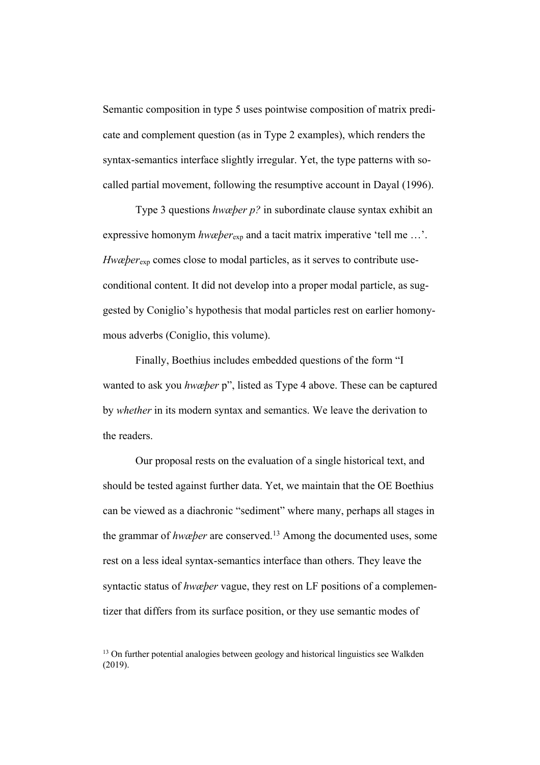Semantic composition in type 5 uses pointwise composition of matrix predicate and complement question (as in Type 2 examples), which renders the syntax-semantics interface slightly irregular. Yet, the type patterns with socalled partial movement, following the resumptive account in Dayal (1996).

Type 3 questions *hwæþer p?* in subordinate clause syntax exhibit an expressive homonym *hwæþer*exp and a tacit matrix imperative 'tell me …'. *Hwæþer*<sub>exp</sub> comes close to modal particles, as it serves to contribute useconditional content. It did not develop into a proper modal particle, as suggested by Coniglio's hypothesis that modal particles rest on earlier homonymous adverbs (Coniglio, this volume).

Finally, Boethius includes embedded questions of the form "I wanted to ask you *hwæþer* p", listed as Type 4 above. These can be captured by *whether* in its modern syntax and semantics. We leave the derivation to the readers.

Our proposal rests on the evaluation of a single historical text, and should be tested against further data. Yet, we maintain that the OE Boethius can be viewed as a diachronic "sediment" where many, perhaps all stages in the grammar of *hwæþer* are conserved.13 Among the documented uses, some rest on a less ideal syntax-semantics interface than others. They leave the syntactic status of *hwæþer* vague, they rest on LF positions of a complementizer that differs from its surface position, or they use semantic modes of

 $13$  On further potential analogies between geology and historical linguistics see Walkden (2019).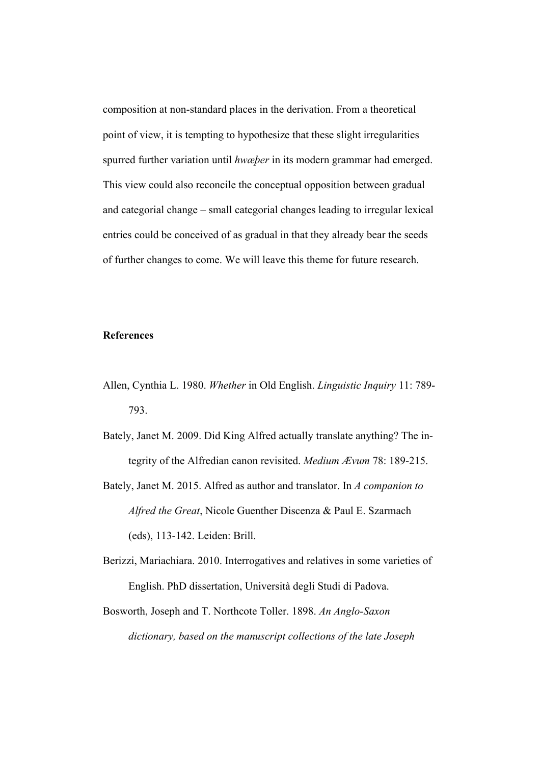composition at non-standard places in the derivation. From a theoretical point of view, it is tempting to hypothesize that these slight irregularities spurred further variation until *hwæþer* in its modern grammar had emerged. This view could also reconcile the conceptual opposition between gradual and categorial change – small categorial changes leading to irregular lexical entries could be conceived of as gradual in that they already bear the seeds of further changes to come. We will leave this theme for future research.

## **References**

- Allen, Cynthia L. 1980. *Whether* in Old English. *Linguistic Inquiry* 11: 789- 793.
- Bately, Janet M. 2009. Did King Alfred actually translate anything? The integrity of the Alfredian canon revisited. *Medium Ævum* 78: 189-215.
- Bately, Janet M. 2015. Alfred as author and translator. In *A companion to Alfred the Great*, Nicole Guenther Discenza & Paul E. Szarmach (eds), 113-142. Leiden: Brill.
- Berizzi, Mariachiara. 2010. Interrogatives and relatives in some varieties of English. PhD dissertation, Università degli Studi di Padova.
- Bosworth, Joseph and T. Northcote Toller. 1898. *An Anglo-Saxon dictionary, based on the manuscript collections of the late Joseph*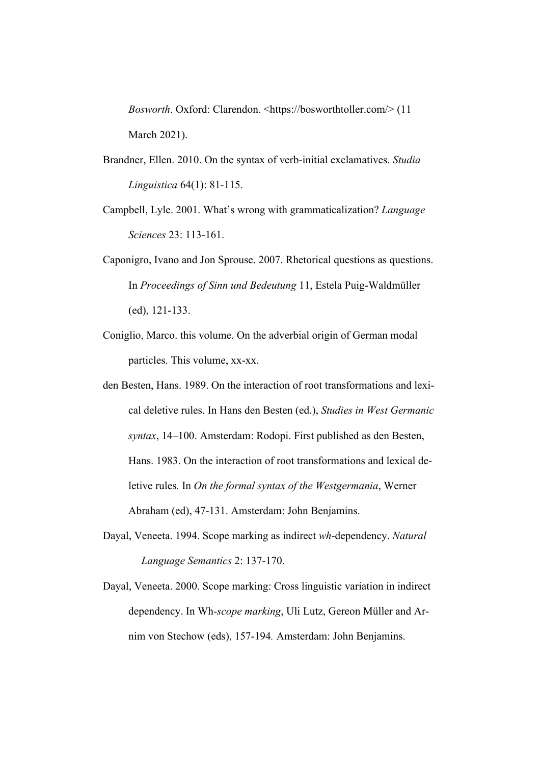*Bosworth*. Oxford: Clarendon. <https://bosworthtoller.com/> (11 March 2021).

- Brandner, Ellen. 2010. On the syntax of verb-initial exclamatives. *Studia Linguistica* 64(1): 81-115.
- Campbell, Lyle. 2001. What's wrong with grammaticalization? *Language Sciences* 23: 113-161.
- Caponigro, Ivano and Jon Sprouse. 2007. Rhetorical questions as questions. In *Proceedings of Sinn und Bedeutung* 11, Estela Puig-Waldmüller (ed), 121-133.
- Coniglio, Marco. this volume. On the adverbial origin of German modal particles. This volume, xx-xx.
- den Besten, Hans. 1989. On the interaction of root transformations and lexical deletive rules. In Hans den Besten (ed.), *Studies in West Germanic syntax*, 14–100. Amsterdam: Rodopi. First published as den Besten, Hans. 1983. On the interaction of root transformations and lexical deletive rules*.* In *On the formal syntax of the Westgermania*, Werner Abraham (ed), 47-131. Amsterdam: John Benjamins.
- Dayal, Veneeta. 1994. Scope marking as indirect *wh*-dependency. *Natural Language Semantics* 2: 137-170.
- Dayal, Veneeta. 2000. Scope marking: Cross linguistic variation in indirect dependency. In Wh*-scope marking*, Uli Lutz, Gereon Müller and Arnim von Stechow (eds), 157-194*.* Amsterdam: John Benjamins.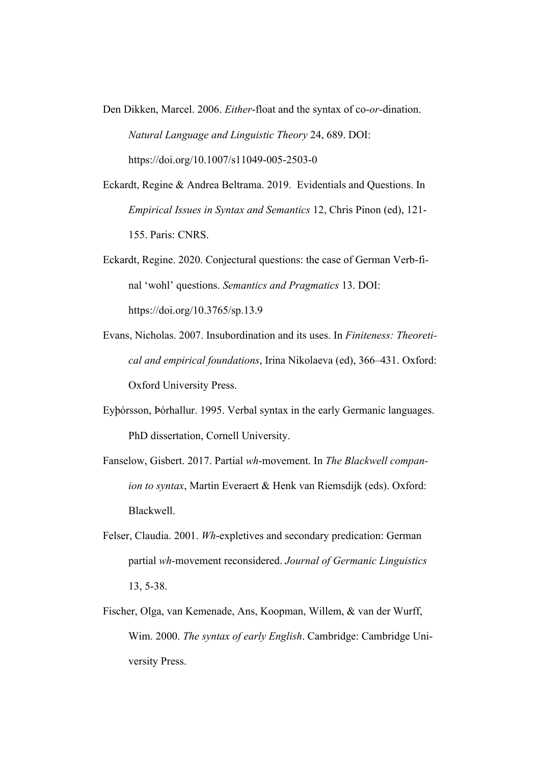- Den Dikken, Marcel. 2006. *Either*-float and the syntax of co-*or*-dination. *Natural Language and Linguistic Theory* 24, 689. DOI: https://doi.org/10.1007/s11049-005-2503-0
- Eckardt, Regine & Andrea Beltrama. 2019. Evidentials and Questions. In *Empirical Issues in Syntax and Semantics* 12, Chris Pinon (ed), 121- 155. Paris: CNRS.
- Eckardt, Regine. 2020. Conjectural questions: the case of German Verb-final 'wohl' questions. *Semantics and Pragmatics* 13. DOI: https://doi.org/10.3765/sp.13.9
- Evans, Nicholas. 2007. Insubordination and its uses. In *Finiteness: Theoretical and empirical foundations*, Irina Nikolaeva (ed), 366–431. Oxford: Oxford University Press.
- Eyþórsson, Þórhallur. 1995. Verbal syntax in the early Germanic languages. PhD dissertation, Cornell University.
- Fanselow, Gisbert. 2017. Partial *wh*-movement. In *The Blackwell companion to syntax*, Martin Everaert & Henk van Riemsdijk (eds). Oxford: Blackwell.
- Felser, Claudia. 2001. *Wh*-expletives and secondary predication: German partial *wh*-movement reconsidered. *Journal of Germanic Linguistics* 13, 5-38.
- Fischer, Olga, van Kemenade, Ans, Koopman, Willem, & van der Wurff, Wim. 2000. *The syntax of early English*. Cambridge: Cambridge University Press.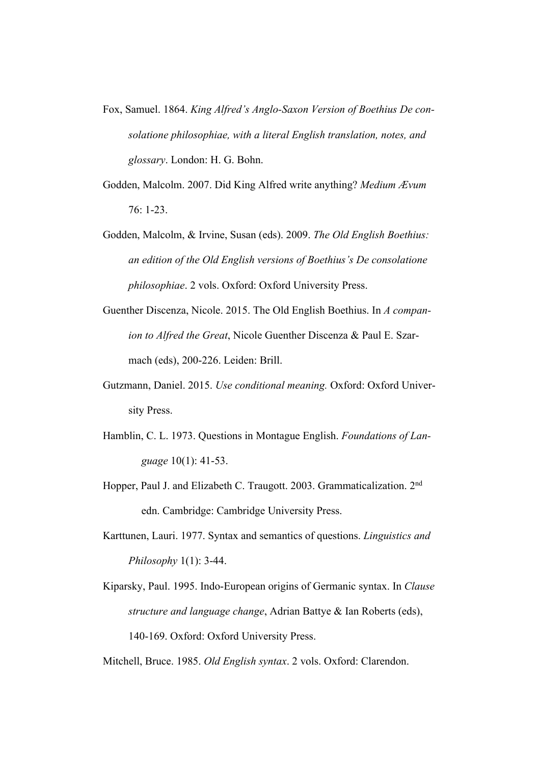- Fox, Samuel. 1864. *King Alfred's Anglo-Saxon Version of Boethius De consolatione philosophiae, with a literal English translation, notes, and glossary*. London: H. G. Bohn.
- Godden, Malcolm. 2007. Did King Alfred write anything? *Medium Ævum*  76: 1-23.
- Godden, Malcolm, & Irvine, Susan (eds). 2009. *The Old English Boethius: an edition of the Old English versions of Boethius's De consolatione philosophiae*. 2 vols. Oxford: Oxford University Press.
- Guenther Discenza, Nicole. 2015. The Old English Boethius. In *A companion to Alfred the Great*, Nicole Guenther Discenza & Paul E. Szarmach (eds), 200-226. Leiden: Brill.
- Gutzmann, Daniel. 2015. *Use conditional meaning.* Oxford: Oxford University Press.
- Hamblin, C. L. 1973. Questions in Montague English. *Foundations of Language* 10(1): 41-53.
- Hopper, Paul J. and Elizabeth C. Traugott. 2003. Grammaticalization. 2nd edn. Cambridge: Cambridge University Press.
- Karttunen, Lauri. 1977. Syntax and semantics of questions. *Linguistics and Philosophy* 1(1): 3-44.
- Kiparsky, Paul. 1995. Indo-European origins of Germanic syntax. In *Clause structure and language change*, Adrian Battye & Ian Roberts (eds), 140-169. Oxford: Oxford University Press.
- Mitchell, Bruce. 1985. *Old English syntax*. 2 vols. Oxford: Clarendon.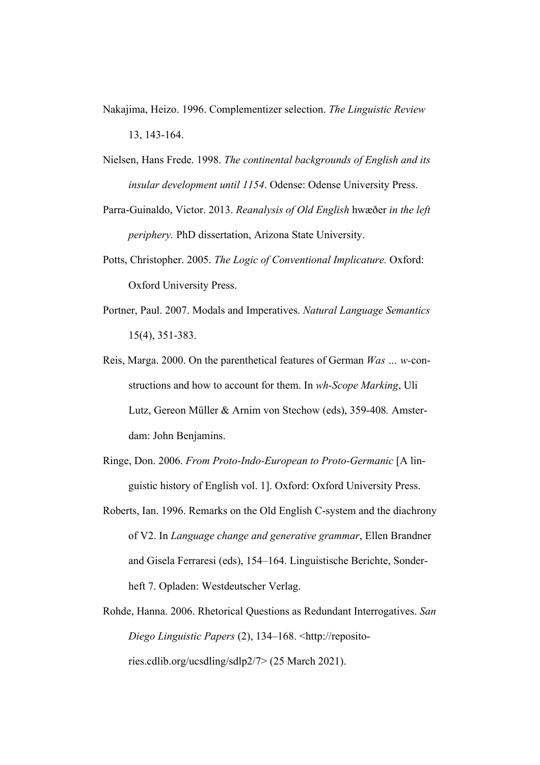- Nakajima, Heizo. 1996. Complementizer selection. *The Linguistic Review* 13, 143-164.
- Nielsen, Hans Frede. 1998. *The continental backgrounds of English and its insular development until 1154*. Odense: Odense University Press.
- Parra-Guinaldo, Victor. 2013. *Reanalysis of Old English* hwæðer *in the left periphery.* PhD dissertation, Arizona State University.
- Potts, Christopher. 2005. *The Logic of Conventional Implicature.* Oxford: Oxford University Press.
- Portner, Paul. 2007. Modals and Imperatives. *Natural Language Semantics* 15(4), 351-383.
- Reis, Marga. 2000. On the parenthetical features of German *Was … w-*constructions and how to account for them. In *wh-Scope Marking*, Uli Lutz, Gereon Müller & Arnim von Stechow (eds), 359-408*.* Amsterdam: John Benjamins.
- Ringe, Don. 2006. *From Proto-Indo-European to Proto-Germanic* [A linguistic history of English vol. 1]. Oxford: Oxford University Press.
- Roberts, Ian. 1996. Remarks on the Old English C-system and the diachrony of V2. In *Language change and generative grammar*, Ellen Brandner and Gisela Ferraresi (eds), 154–164. Linguistische Berichte, Sonderheft 7. Opladen: Westdeutscher Verlag.
- Rohde, Hanna. 2006. Rhetorical Questions as Redundant Interrogatives. *San Diego Linguistic Papers* (2), 134–168. <http://repositories.cdlib.org/ucsdling/sdlp2/7> (25 March 2021).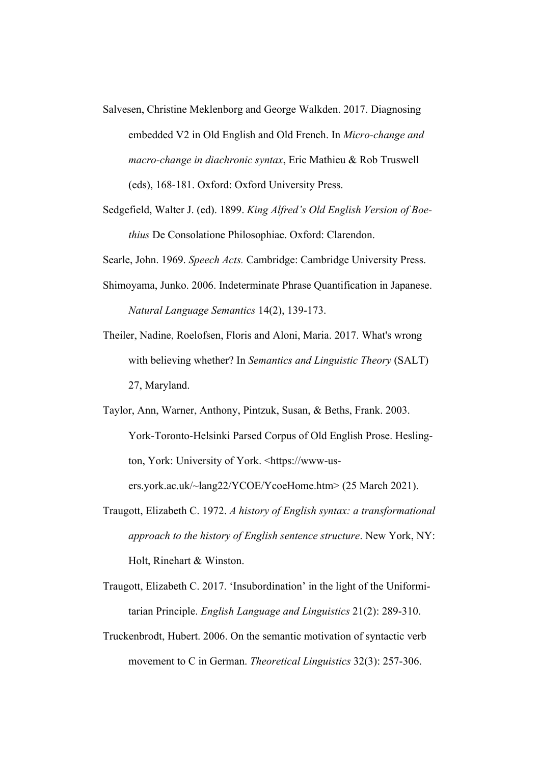- Salvesen, Christine Meklenborg and George Walkden. 2017. Diagnosing embedded V2 in Old English and Old French. In *Micro-change and macro-change in diachronic syntax*, Eric Mathieu & Rob Truswell (eds), 168-181. Oxford: Oxford University Press.
- Sedgefield, Walter J. (ed). 1899. *King Alfred's Old English Version of Boethius* De Consolatione Philosophiae. Oxford: Clarendon.

Searle, John. 1969. *Speech Acts.* Cambridge: Cambridge University Press.

- Shimoyama, Junko. 2006. Indeterminate Phrase Quantification in Japanese. *Natural Language Semantics* 14(2), 139-173.
- Theiler, Nadine, Roelofsen, Floris and Aloni, Maria. 2017. What's wrong with believing whether? In *Semantics and Linguistic Theory* (SALT) 27, Maryland.
- Taylor, Ann, Warner, Anthony, Pintzuk, Susan, & Beths, Frank. 2003. York-Toronto-Helsinki Parsed Corpus of Old English Prose. Heslington, York: University of York. <https://www-users.york.ac.uk/~lang22/YCOE/YcoeHome.htm> (25 March 2021).
- Traugott, Elizabeth C. 1972. *A history of English syntax: a transformational approach to the history of English sentence structure*. New York, NY: Holt, Rinehart & Winston.
- Traugott, Elizabeth C. 2017. 'Insubordination' in the light of the Uniformitarian Principle. *English Language and Linguistics* 21(2): 289-310.
- Truckenbrodt, Hubert. 2006. On the semantic motivation of syntactic verb movement to C in German. *Theoretical Linguistics* 32(3): 257-306.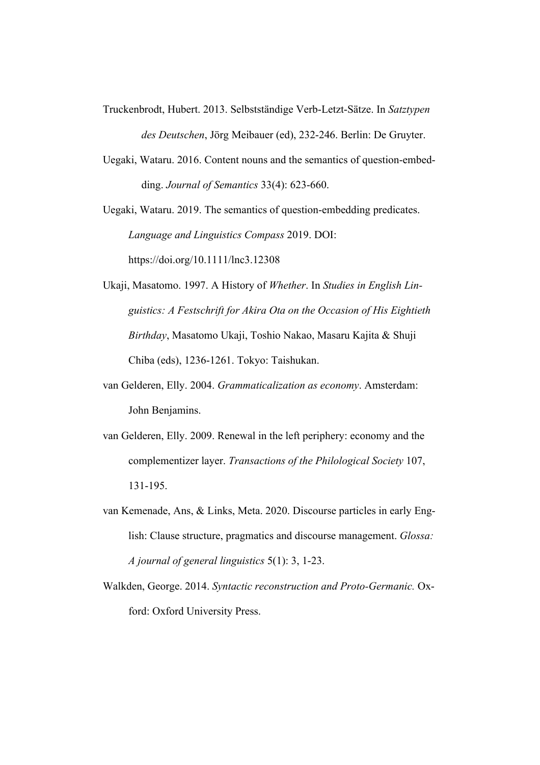- Truckenbrodt, Hubert. 2013. Selbstständige Verb-Letzt-Sätze. In *Satztypen des Deutschen*, Jörg Meibauer (ed), 232-246. Berlin: De Gruyter.
- Uegaki, Wataru. 2016. Content nouns and the semantics of question-embedding. *Journal of Semantics* 33(4): 623-660.

Uegaki, Wataru. 2019. The semantics of question-embedding predicates. *Language and Linguistics Compass* 2019. DOI:

https://doi.org/10.1111/lnc3.12308

- Ukaji, Masatomo. 1997. A History of *Whether*. In *Studies in English Linguistics: A Festschrift for Akira Ota on the Occasion of His Eightieth Birthday*, Masatomo Ukaji, Toshio Nakao, Masaru Kajita & Shuji Chiba (eds), 1236-1261. Tokyo: Taishukan.
- van Gelderen, Elly. 2004. *Grammaticalization as economy*. Amsterdam: John Benjamins.
- van Gelderen, Elly. 2009. Renewal in the left periphery: economy and the complementizer layer. *Transactions of the Philological Society* 107, 131-195.
- van Kemenade, Ans, & Links, Meta. 2020. Discourse particles in early English: Clause structure, pragmatics and discourse management. *Glossa: A journal of general linguistics* 5(1): 3, 1-23.
- Walkden, George. 2014. *Syntactic reconstruction and Proto-Germanic.* Oxford: Oxford University Press.